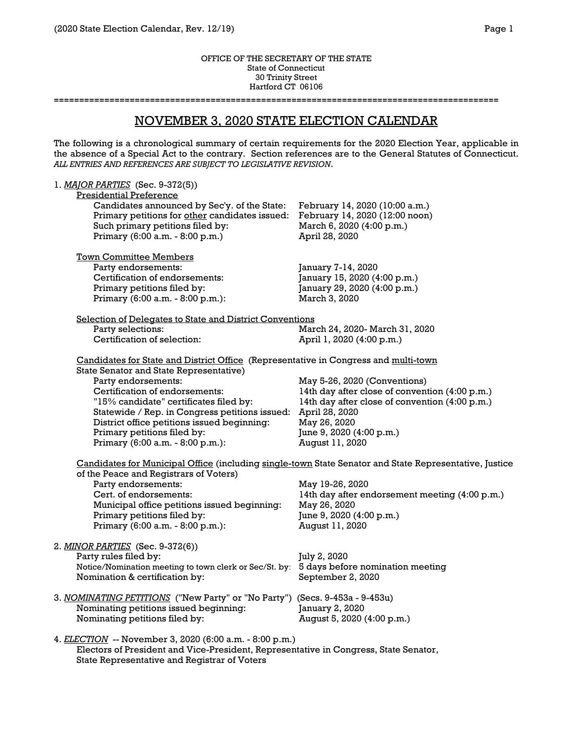#### OFFICE OF THE SECRETARY OF THE STATE State of Connecticut 30 Trinity Street Hartford CT 06106

**========================================================================================**

# NOVEMBER 3, 2020 STATE ELECTION CALENDAR

The following is a chronological summary of certain requirements for the 2020 Election Year, applicable in the absence of a Special Act to the contrary. Section references are to the General Statutes of Connecticut. *ALL ENTRIES AND REFERENCES ARE SUBJECT TO LEGISLATIVE REVISION*.

| 1. MAJOR PARTIES (Sec. 9-372(5))                                                        |                                                                                                        |
|-----------------------------------------------------------------------------------------|--------------------------------------------------------------------------------------------------------|
| <b>Presidential Preference</b>                                                          |                                                                                                        |
| Candidates announced by Sec'y. of the State:                                            | February 14, 2020 (10:00 a.m.)                                                                         |
| Primary petitions for other candidates issued:                                          | February 14, 2020 (12:00 noon)                                                                         |
| Such primary petitions filed by:                                                        | March 6, 2020 (4:00 p.m.)                                                                              |
| Primary (6:00 a.m. - 8:00 p.m.)                                                         | April 28, 2020                                                                                         |
|                                                                                         |                                                                                                        |
| <b>Town Committee Members</b>                                                           |                                                                                                        |
| Party endorsements:                                                                     | January 7-14, 2020                                                                                     |
| Certification of endorsements:                                                          | January 15, 2020 (4:00 p.m.)                                                                           |
| Primary petitions filed by:                                                             | January 29, 2020 (4:00 p.m.)                                                                           |
| Primary (6:00 a.m. - 8:00 p.m.):                                                        | March 3, 2020                                                                                          |
|                                                                                         |                                                                                                        |
| Selection of Delegates to State and District Conventions                                |                                                                                                        |
| Party selections:                                                                       | March 24, 2020- March 31, 2020                                                                         |
| Certification of selection:                                                             | April 1, 2020 (4:00 p.m.)                                                                              |
| Candidates for State and District Office (Representative in Congress and multi-town     |                                                                                                        |
| State Senator and State Representative)                                                 |                                                                                                        |
| Party endorsements:                                                                     | May 5-26, 2020 (Conventions)                                                                           |
| Certification of endorsements:                                                          | 14th day after close of convention (4:00 p.m.)                                                         |
| "15% candidate" certificates filed by:                                                  | 14th day after close of convention (4:00 p.m.)                                                         |
| Statewide / Rep. in Congress petitions issued:                                          | April 28, 2020                                                                                         |
| District office petitions issued beginning:                                             | May 26, 2020                                                                                           |
|                                                                                         |                                                                                                        |
| Primary petitions filed by:                                                             | June 9, 2020 (4:00 p.m.)                                                                               |
| Primary (6:00 a.m. - 8:00 p.m.):                                                        | August 11, 2020                                                                                        |
|                                                                                         | Candidates for Municipal Office (including single-town State Senator and State Representative, Justice |
| of the Peace and Registrars of Voters)                                                  |                                                                                                        |
| Party endorsements:                                                                     | May 19-26, 2020                                                                                        |
| Cert. of endorsements:                                                                  | 14th day after endorsement meeting (4:00 p.m.)                                                         |
| Municipal office petitions issued beginning:                                            | May 26, 2020                                                                                           |
| Primary petitions filed by:                                                             | June 9, 2020 (4:00 p.m.)                                                                               |
| Primary (6:00 a.m. - 8:00 p.m.):                                                        | August 11, 2020                                                                                        |
|                                                                                         |                                                                                                        |
| 2. MINOR PARTIES (Sec. 9-372(6))                                                        |                                                                                                        |
| Party rules filed by:                                                                   | July 2, 2020                                                                                           |
| Notice/Nomination meeting to town clerk or Sec/St. by: 5 days before nomination meeting |                                                                                                        |
| Nomination & certification by:                                                          | September 2, 2020                                                                                      |
|                                                                                         |                                                                                                        |
| 3. NOMINATING PETITIONS ("New Party" or "No Party") (Secs. 9-453a - 9-453u)             |                                                                                                        |
| Nominating petitions issued beginning:                                                  | January 2, 2020                                                                                        |
| Nominating petitions filed by:                                                          | August 5, 2020 (4:00 p.m.)                                                                             |
| 4. ELECTION -- November 3, 2020 (6:00 a.m. - 8:00 p.m.)                                 |                                                                                                        |
| Electors of President and Vice-President, Representative in Congress, State Senator,    |                                                                                                        |
| State Representative and Registrar of Voters                                            |                                                                                                        |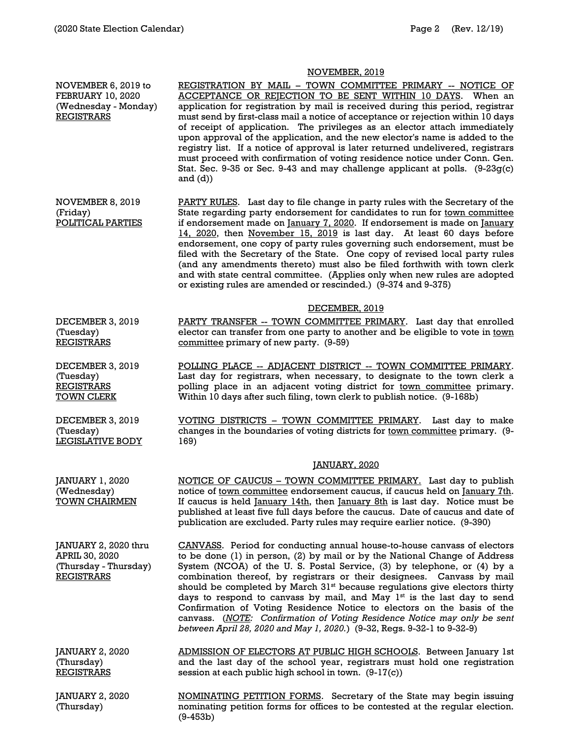## NOVEMBER, 2019

NOVEMBER 6, 2019 to FEBRUARY 10, 2020 (Wednesday - Monday) REGISTRARS REGISTRATION BY MAIL – TOWN COMMITTEE PRIMARY -- NOTICE OF ACCEPTANCE OR REJECTION TO BE SENT WITHIN 10 DAYS. When an application for registration by mail is received during this period, registrar must send by first-class mail a notice of acceptance or rejection within 10 days of receipt of application. The privileges as an elector attach immediately upon approval of the application, and the new elector's name is added to the registry list. If a notice of approval is later returned undelivered, registrars must proceed with confirmation of voting residence notice under Conn. Gen. Stat. Sec. 9-35 or Sec. 9-43 and may challenge applicant at polls.  $(9-23q(c)$ and  $(d)$ ) NOVEMBER 8, 2019 (Friday) POLITICAL PARTIES PARTY RULES. Last day to file change in party rules with the Secretary of the State regarding party endorsement for candidates to run for town committee if endorsement made on January 7, 2020. If endorsement is made on January 14, 2020, then November 15, 2019 is last day. At least 60 days before endorsement, one copy of party rules governing such endorsement, must be filed with the Secretary of the State. One copy of revised local party rules (and any amendments thereto) must also be filed forthwith with town clerk and with state central committee. (Applies only when new rules are adopted or existing rules are amended or rescinded.) (9-374 and 9-375) DECEMBER, 2019 DECEMBER 3, 2019 (Tuesday) REGISTRARS PARTY TRANSFER -- TOWN COMMITTEE PRIMARY. Last day that enrolled elector can transfer from one party to another and be eligible to vote in town committee primary of new party. (9-59) DECEMBER 3, 2019 (Tuesday) **REGISTRARS** TOWN CLERK POLLING PLACE -- ADJACENT DISTRICT -- TOWN COMMITTEE PRIMARY. Last day for registrars, when necessary, to designate to the town clerk a polling place in an adjacent voting district for town committee primary. Within 10 days after such filing, town clerk to publish notice. (9-168b) DECEMBER 3, 2019 (Tuesday) LEGISLATIVE BODY VOTING DISTRICTS – TOWN COMMITTEE PRIMARY. Last day to make changes in the boundaries of voting districts for town committee primary. (9-169) JANUARY, 2020 JANUARY 1, 2020 (Wednesday) TOWN CHAIRMEN NOTICE OF CAUCUS – TOWN COMMITTEE PRIMARY. Last day to publish notice of town committee endorsement caucus, if caucus held on January 7th. If caucus is held  $\frac{I_{\text{anuary}}}{I_{\text{aninary}}}\right)$  then  $\frac{I_{\text{anuary}}}{I_{\text{aninary}}}\right)$  and is last day. Notice must be published at least five full days before the caucus. Date of caucus and date of publication are excluded. Party rules may require earlier notice. (9-390) JANUARY 2, 2020 thru APRIL 30, 2020 (Thursday - Thursday) REGISTRARS CANVASS. Period for conducting annual house-to-house canvass of electors to be done (1) in person, (2) by mail or by the National Change of Address System (NCOA) of the U. S. Postal Service, (3) by telephone, or (4) by a combination thereof, by registrars or their designees. Canvass by mail should be completed by March  $31^{st}$  because regulations give electors thirty days to respond to canvass by mail, and May  $1<sup>st</sup>$  is the last day to send Confirmation of Voting Residence Notice to electors on the basis of the canvass. (*NOTE: Confirmation of Voting Residence Notice may only be sent between April 28, 2020 and May 1, 2020.*) (9-32, Regs. 9-32-1 to 9-32-9) JANUARY 2, 2020 (Thursday) **REGISTRARS** ADMISSION OF ELECTORS AT PUBLIC HIGH SCHOOLS. Between January 1st and the last day of the school year, registrars must hold one registration session at each public high school in town. (9-17(c)) JANUARY 2, 2020 (Thursday) NOMINATING PETITION FORMS. Secretary of the State may begin issuing nominating petition forms for offices to be contested at the regular election. (9-453b)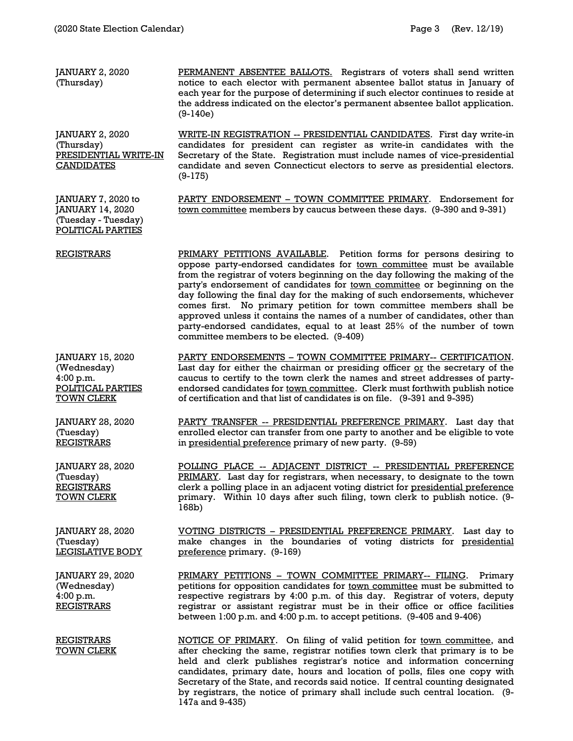| JANUARY 2, 2020<br>(Thursday)                                                          | PERMANENT ABSENTEE BALLOTS. Registrars of voters shall send written<br>notice to each elector with permanent absentee ballot status in January of<br>each year for the purpose of determining if such elector continues to reside at<br>the address indicated on the elector's permanent absentee ballot application.<br>$(9-140e)$                                                                                                                                                                                                                                                                                                                                  |
|----------------------------------------------------------------------------------------|----------------------------------------------------------------------------------------------------------------------------------------------------------------------------------------------------------------------------------------------------------------------------------------------------------------------------------------------------------------------------------------------------------------------------------------------------------------------------------------------------------------------------------------------------------------------------------------------------------------------------------------------------------------------|
| JANUARY 2, 2020<br>(Thursday)<br>PRESIDENTIAL WRITE-IN<br><b>CANDIDATES</b>            | <b>WRITE-IN REGISTRATION -- PRESIDENTIAL CANDIDATES.</b> First day write-in<br>candidates for president can register as write-in candidates with the<br>Secretary of the State. Registration must include names of vice-presidential<br>candidate and seven Connecticut electors to serve as presidential electors.<br>$(9-175)$                                                                                                                                                                                                                                                                                                                                     |
| JANUARY 7, 2020 to<br>JANUARY 14, 2020<br>(Tuesday - Tuesday)<br>POLITICAL PARTIES     | PARTY ENDORSEMENT - TOWN COMMITTEE PRIMARY. Endorsement for<br>town committee members by caucus between these days. (9-390 and 9-391)                                                                                                                                                                                                                                                                                                                                                                                                                                                                                                                                |
| <b>REGISTRARS</b>                                                                      | PRIMARY PETITIONS AVAILABLE. Petition forms for persons desiring to<br>oppose party-endorsed candidates for town committee must be available<br>from the registrar of voters beginning on the day following the making of the<br>party's endorsement of candidates for town committee or beginning on the<br>day following the final day for the making of such endorsements, whichever<br>comes first. No primary petition for town committee members shall be<br>approved unless it contains the names of a number of candidates, other than<br>party-endorsed candidates, equal to at least 25% of the number of town<br>committee members to be elected. (9-409) |
| JANUARY 15, 2020<br>(Wednesday)<br>4:00 p.m.<br>POLITICAL PARTIES<br><b>TOWN CLERK</b> | PARTY ENDORSEMENTS - TOWN COMMITTEE PRIMARY-- CERTIFICATION.<br>Last day for either the chairman or presiding officer or the secretary of the<br>caucus to certify to the town clerk the names and street addresses of party-<br>endorsed candidates for town committee. Clerk must forthwith publish notice<br>of certification and that list of candidates is on file. (9-391 and 9-395)                                                                                                                                                                                                                                                                           |
| JANUARY 28, 2020<br>(Tuesday)<br><b>REGISTRARS</b>                                     | PARTY TRANSFER -- PRESIDENTIAL PREFERENCE PRIMARY. Last day that<br>enrolled elector can transfer from one party to another and be eligible to vote<br>in presidential preference primary of new party. (9-59)                                                                                                                                                                                                                                                                                                                                                                                                                                                       |
| JANUARY 28, 2020<br>(Tuesday)<br><b>REGISTRARS</b><br><b>TOWN CLERK</b>                | POLLING PLACE -- ADJACENT DISTRICT -- PRESIDENTIAL PREFERENCE<br>PRIMARY. Last day for registrars, when necessary, to designate to the town<br>clerk a polling place in an adjacent voting district for presidential preference<br>primary. Within 10 days after such filing, town clerk to publish notice. (9-<br>168b)                                                                                                                                                                                                                                                                                                                                             |
| JANUARY 28, 2020<br>(Tuesday)<br>LEGISLATIVE BODY                                      | VOTING DISTRICTS - PRESIDENTIAL PREFERENCE PRIMARY. Last day to<br>make changes in the boundaries of voting districts for presidential<br>preference primary. (9-169)                                                                                                                                                                                                                                                                                                                                                                                                                                                                                                |
| JANUARY 29, 2020<br>(Wednesday)<br>4:00 p.m.<br><b>REGISTRARS</b>                      | PRIMARY PETITIONS - TOWN COMMITTEE PRIMARY-- FILING. Primary<br>petitions for opposition candidates for town committee must be submitted to<br>respective registrars by 4:00 p.m. of this day. Registrar of voters, deputy<br>registrar or assistant registrar must be in their office or office facilities<br>between 1:00 p.m. and 4:00 p.m. to accept petitions. (9-405 and 9-406)                                                                                                                                                                                                                                                                                |
| <b>REGISTRARS</b><br><b>TOWN CLERK</b>                                                 | NOTICE OF PRIMARY. On filing of valid petition for town committee, and<br>after checking the same, registrar notifies town clerk that primary is to be<br>held and clerk publishes registrar's notice and information concerning<br>candidates, primary date, hours and location of polls, files one copy with<br>Secretary of the State, and records said notice. If central counting designated<br>by registrars, the notice of primary shall include such central location. (9-                                                                                                                                                                                   |

147a and 9-435)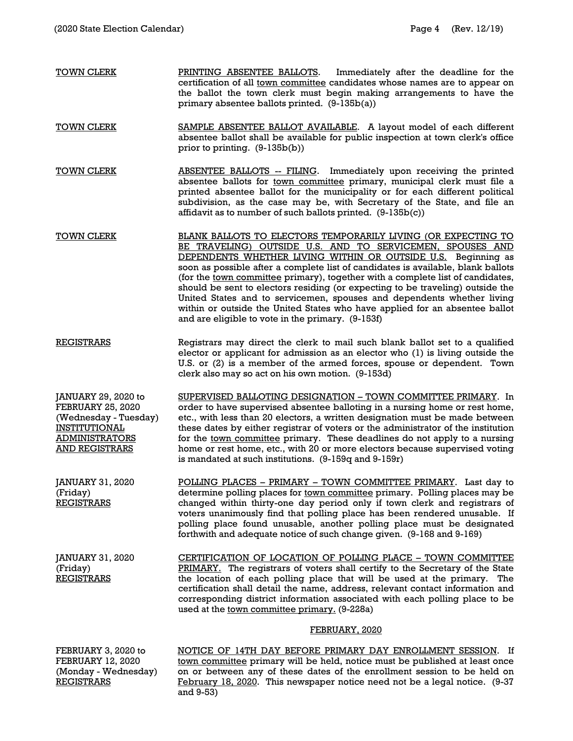- TOWN CLERK PRINTING ABSENTEE BALLOTS. Immediately after the deadline for the certification of all town committee candidates whose names are to appear on the ballot the town clerk must begin making arrangements to have the primary absentee ballots printed. (9-135b(a)) TOWN CLERK SAMPLE ABSENTEE BALLOT AVAILABLE. A layout model of each different absentee ballot shall be available for public inspection at town clerk's office prior to printing. (9-135b(b)) TOWN CLERK **ABSENTEE BALLOTS** -- FILING. Immediately upon receiving the printed absentee ballots for town committee primary, municipal clerk must file a printed absentee ballot for the municipality or for each different political subdivision, as the case may be, with Secretary of the State, and file an affidavit as to number of such ballots printed.  $(9-135b(c))$ TOWN CLERK **BLANK BALLOTS TO ELECTORS TEMPORARILY LIVING (OR EXPECTING TO** BE TRAVELING) OUTSIDE U.S. AND TO SERVICEMEN, SPOUSES AND DEPENDENTS WHETHER LIVING WITHIN OR OUTSIDE U.S. Beginning as soon as possible after a complete list of candidates is available, blank ballots (for the town committee primary), together with a complete list of candidates, should be sent to electors residing (or expecting to be traveling) outside the United States and to servicemen, spouses and dependents whether living within or outside the United States who have applied for an absentee ballot and are eligible to vote in the primary. (9-153f) REGISTRARS Registrars may direct the clerk to mail such blank ballot set to a qualified elector or applicant for admission as an elector who (1) is living outside the U.S. or (2) is a member of the armed forces, spouse or dependent. Town clerk also may so act on his own motion. (9-153d) JANUARY 29, 2020 to FEBRUARY 25, 2020 (Wednesday - Tuesday) INSTITUTIONAL ADMINISTRATORS AND REGISTRARS SUPERVISED BALLOTING DESIGNATION – TOWN COMMITTEE PRIMARY. In order to have supervised absentee balloting in a nursing home or rest home, etc., with less than 20 electors, a written designation must be made between these dates by either registrar of voters or the administrator of the institution for the town committee primary. These deadlines do not apply to a nursing home or rest home, etc., with 20 or more electors because supervised voting is mandated at such institutions. (9-159q and 9-159r) JANUARY 31, 2020 (Friday) REGISTRARS POLLING PLACES – PRIMARY – TOWN COMMITTEE PRIMARY. Last day to determine polling places for town committee primary. Polling places may be changed within thirty-one day period only if town clerk and registrars of voters unanimously find that polling place has been rendered unusable. If
- JANUARY 31, 2020 (Friday) REGISTRARS CERTIFICATION OF LOCATION OF POLLING PLACE – TOWN COMMITTEE PRIMARY. The registrars of voters shall certify to the Secretary of the State the location of each polling place that will be used at the primary. The certification shall detail the name, address, relevant contact information and corresponding district information associated with each polling place to be used at the town committee primary. (9-228a)

## FEBRUARY, 2020

polling place found unusable, another polling place must be designated

forthwith and adequate notice of such change given. (9-168 and 9-169)

FEBRUARY 3, 2020 to FEBRUARY 12, 2020 (Monday - Wednesday) REGISTRARS

NOTICE OF 14TH DAY BEFORE PRIMARY DAY ENROLLMENT SESSION. If town committee primary will be held, notice must be published at least once on or between any of these dates of the enrollment session to be held on February 18, 2020. This newspaper notice need not be a legal notice. (9-37 and 9-53)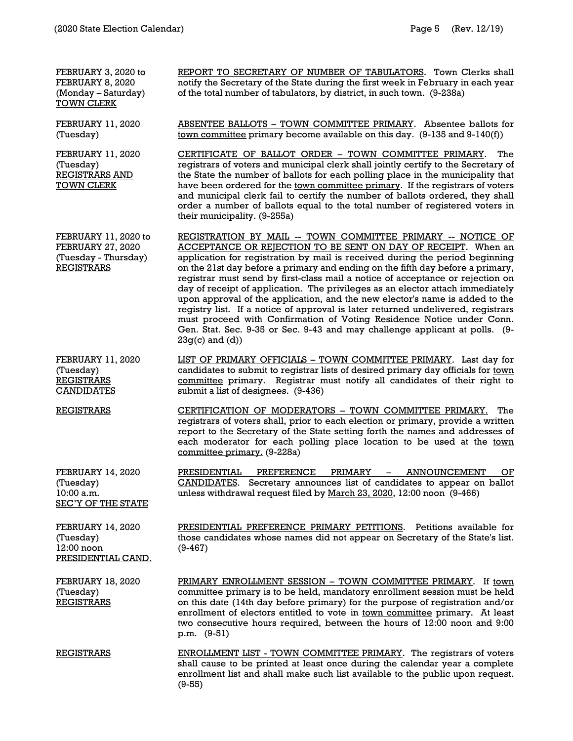| FEBRUARY 3, 2020 to<br>FEBRUARY 8, 2020<br>(Monday - Saturday)<br><b>TOWN CLERK</b>           | REPORT TO SECRETARY OF NUMBER OF TABULATORS. Town Clerks shall<br>notify the Secretary of the State during the first week in February in each year<br>of the total number of tabulators, by district, in such town. (9-238a)                                                                                                                                                                                                                                                                                                                                                                                                                                                                                                                                                                                           |
|-----------------------------------------------------------------------------------------------|------------------------------------------------------------------------------------------------------------------------------------------------------------------------------------------------------------------------------------------------------------------------------------------------------------------------------------------------------------------------------------------------------------------------------------------------------------------------------------------------------------------------------------------------------------------------------------------------------------------------------------------------------------------------------------------------------------------------------------------------------------------------------------------------------------------------|
| <b>FEBRUARY 11, 2020</b><br>(Tuesday)                                                         | ABSENTEE BALLOTS - TOWN COMMITTEE PRIMARY. Absentee ballots for<br>town committee primary become available on this day. (9-135 and 9-140(f))                                                                                                                                                                                                                                                                                                                                                                                                                                                                                                                                                                                                                                                                           |
| <b>FEBRUARY 11, 2020</b><br>(Tuesday)<br><b>REGISTRARS AND</b><br><b>TOWN CLERK</b>           | CERTIFICATE OF BALLOT ORDER - TOWN COMMITTEE PRIMARY.<br>The<br>registrars of voters and municipal clerk shall jointly certify to the Secretary of<br>the State the number of ballots for each polling place in the municipality that<br>have been ordered for the town committee primary. If the registrars of voters<br>and municipal clerk fail to certify the number of ballots ordered, they shall<br>order a number of ballots equal to the total number of registered voters in<br>their municipality. (9-255a)                                                                                                                                                                                                                                                                                                 |
| FEBRUARY 11, 2020 to<br><b>FEBRUARY 27, 2020</b><br>(Tuesday - Thursday)<br><b>REGISTRARS</b> | REGISTRATION BY MAIL -- TOWN COMMITTEE PRIMARY -- NOTICE OF<br>ACCEPTANCE OR REJECTION TO BE SENT ON DAY OF RECEIPT. When an<br>application for registration by mail is received during the period beginning<br>on the 21st day before a primary and ending on the fifth day before a primary,<br>registrar must send by first-class mail a notice of acceptance or rejection on<br>day of receipt of application. The privileges as an elector attach immediately<br>upon approval of the application, and the new elector's name is added to the<br>registry list. If a notice of approval is later returned undelivered, registrars<br>must proceed with Confirmation of Voting Residence Notice under Conn.<br>Gen. Stat. Sec. 9-35 or Sec. 9-43 and may challenge applicant at polls. (9-<br>$23g(c)$ and $(d)$ ) |
| <b>FEBRUARY 11, 2020</b><br>(Tuesday)<br><b>REGISTRARS</b><br><b>CANDIDATES</b>               | LIST OF PRIMARY OFFICIALS - TOWN COMMITTEE PRIMARY. Last day for<br>candidates to submit to registrar lists of desired primary day officials for town<br>committee primary. Registrar must notify all candidates of their right to<br>submit a list of designees. (9-436)                                                                                                                                                                                                                                                                                                                                                                                                                                                                                                                                              |
| <b>REGISTRARS</b>                                                                             | CERTIFICATION OF MODERATORS - TOWN COMMITTEE PRIMARY.<br>The<br>registrars of voters shall, prior to each election or primary, provide a written<br>report to the Secretary of the State setting forth the names and addresses of<br>each moderator for each polling place location to be used at the town<br>committee primary. (9-228a)                                                                                                                                                                                                                                                                                                                                                                                                                                                                              |
| <b>FEBRUARY 14, 2020</b><br>(Tuesday)<br>10:00 a.m.<br><b>SEC'Y OF THE STATE</b>              | PRESIDENTIAL<br>PREFERENCE<br>PRIMARY –<br><b>ANNOUNCEMENT</b><br>OF<br>CANDIDATES.<br>Secretary announces list of candidates to appear on ballot<br>unless withdrawal request filed by March 23, 2020, 12:00 noon (9-466)                                                                                                                                                                                                                                                                                                                                                                                                                                                                                                                                                                                             |
| <b>FEBRUARY 14, 2020</b><br>(Tuesday)<br>12:00 noon<br>PRESIDENTIAL CAND.                     | PRESIDENTIAL PREFERENCE PRIMARY PETITIONS. Petitions available for<br>those candidates whose names did not appear on Secretary of the State's list.<br>$(9 - 467)$                                                                                                                                                                                                                                                                                                                                                                                                                                                                                                                                                                                                                                                     |
| <b>FEBRUARY 18, 2020</b><br>(Tuesday)<br><b>REGISTRARS</b>                                    | PRIMARY ENROLLMENT SESSION - TOWN COMMITTEE PRIMARY. If town<br>committee primary is to be held, mandatory enrollment session must be held<br>on this date (14th day before primary) for the purpose of registration and/or<br>enrollment of electors entitled to vote in town committee primary. At least<br>two consecutive hours required, between the hours of 12:00 noon and 9:00<br>p.m. (9-51)                                                                                                                                                                                                                                                                                                                                                                                                                  |
| <b>REGISTRARS</b>                                                                             | ENROLLMENT LIST - TOWN COMMITTEE PRIMARY. The registrars of voters<br>shall cause to be printed at least once during the calendar year a complete<br>enrollment list and shall make such list available to the public upon request.<br>$(9-55)$                                                                                                                                                                                                                                                                                                                                                                                                                                                                                                                                                                        |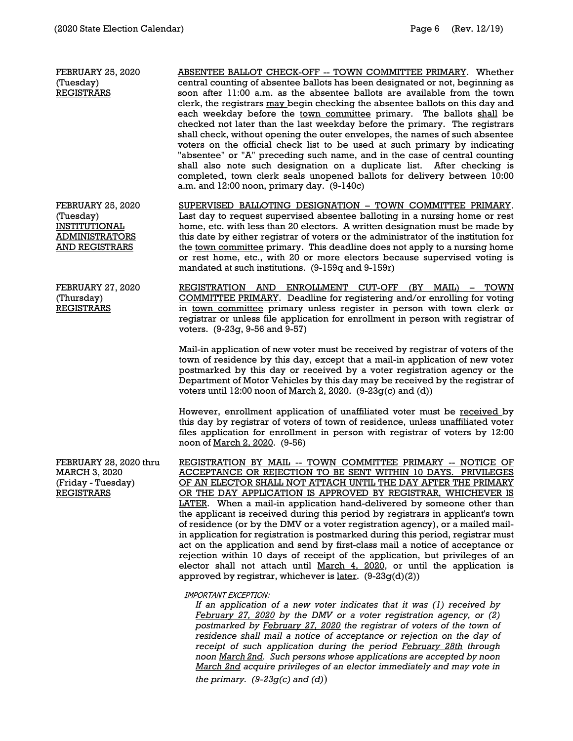| <b>FEBRUARY 25, 2020</b><br>(Tuesday)<br><b>REGISTRARS</b>                                                      | <b>ABSENTEE BALLOT CHECK-OFF -- TOWN COMMITTEE PRIMARY. Whether</b><br>central counting of absentee ballots has been designated or not, beginning as<br>soon after 11:00 a.m. as the absentee ballots are available from the town<br>clerk, the registrars may begin checking the absentee ballots on this day and<br>each weekday before the town committee primary. The ballots shall be<br>checked not later than the last weekday before the primary. The registrars<br>shall check, without opening the outer envelopes, the names of such absentee<br>voters on the official check list to be used at such primary by indicating<br>"absentee" or "A" preceding such name, and in the case of central counting<br>shall also note such designation on a duplicate list. After checking is<br>completed, town clerk seals unopened ballots for delivery between 10:00<br>a.m. and 12:00 noon, primary day. (9-140c) |
|-----------------------------------------------------------------------------------------------------------------|--------------------------------------------------------------------------------------------------------------------------------------------------------------------------------------------------------------------------------------------------------------------------------------------------------------------------------------------------------------------------------------------------------------------------------------------------------------------------------------------------------------------------------------------------------------------------------------------------------------------------------------------------------------------------------------------------------------------------------------------------------------------------------------------------------------------------------------------------------------------------------------------------------------------------|
| <b>FEBRUARY 25, 2020</b><br>(Tuesday)<br><b>INSTITUTIONAL</b><br><b>ADMINISTRATORS</b><br><b>AND REGISTRARS</b> | SUPERVISED BALLOTING DESIGNATION - TOWN COMMITTEE PRIMARY.<br>Last day to request supervised absentee balloting in a nursing home or rest<br>home, etc. with less than 20 electors. A written designation must be made by<br>this date by either registrar of voters or the administrator of the institution for<br>the town committee primary. This deadline does not apply to a nursing home<br>or rest home, etc., with 20 or more electors because supervised voting is<br>mandated at such institutions. (9-159q and 9-159r)                                                                                                                                                                                                                                                                                                                                                                                        |
| <b>FEBRUARY 27, 2020</b><br>(Thursday)<br><b>REGISTRARS</b>                                                     | REGISTRATION AND ENROLLMENT CUT-OFF (BY MAIL) - TOWN<br><b>COMMITTEE PRIMARY</b> . Deadline for registering and/or enrolling for voting<br>in town committee primary unless register in person with town clerk or<br>registrar or unless file application for enrollment in person with registrar of<br>voters. (9-23q, 9-56 and 9-57)                                                                                                                                                                                                                                                                                                                                                                                                                                                                                                                                                                                   |
|                                                                                                                 | Mail-in application of new voter must be received by registrar of voters of the<br>town of residence by this day, except that a mail-in application of new voter<br>postmarked by this day or received by a voter registration agency or the<br>Department of Motor Vehicles by this day may be received by the registrar of<br>voters until 12:00 noon of March 2, 2020. $(9-23g(c)$ and $(d))$                                                                                                                                                                                                                                                                                                                                                                                                                                                                                                                         |
|                                                                                                                 | However, enrollment application of unaffiliated voter must be received by<br>this day by registrar of voters of town of residence, unless unaffiliated voter<br>files application for enrollment in person with registrar of voters by 12:00<br>noon of <u>March 2, 2020</u> . (9-56)                                                                                                                                                                                                                                                                                                                                                                                                                                                                                                                                                                                                                                    |
| FEBRUARY 28, 2020 thru<br><b>MARCH 3, 2020</b><br>(Friday - Tuesday)<br><b>REGISTRARS</b>                       | REGISTRATION BY MAIL -- TOWN COMMITTEE PRIMARY -- NOTICE OF<br>ACCEPTANCE OR REJECTION TO BE SENT WITHIN 10 DAYS. PRIVILEGES<br>OF AN ELECTOR SHALL NOT ATTACH UNTIL THE DAY AFTER THE PRIMARY<br>OR THE DAY APPLICATION IS APPROVED BY REGISTRAR, WHICHEVER IS<br>LATER. When a mail-in application hand-delivered by someone other than<br>the applicant is received during this period by registrars in applicant's town<br>of residence (or by the DMV or a voter registration agency), or a mailed mail-<br>in application for registration is postmarked during this period, registrar must<br>act on the application and send by first-class mail a notice of acceptance or<br>rejection within 10 days of receipt of the application, but privileges of an<br>elector shall not attach until March 4, 2020, or until the application is<br>approved by registrar, whichever is later. $(9-23g(d)(2))$            |
|                                                                                                                 | <b>IMPORTANT EXCEPTION:</b>                                                                                                                                                                                                                                                                                                                                                                                                                                                                                                                                                                                                                                                                                                                                                                                                                                                                                              |

*If an application of a new voter indicates that it was (1) received by February 27, 2020 by the DMV or a voter registration agency, or (2) postmarked by February 27, 2020 the registrar of voters of the town of residence shall mail a notice of acceptance or rejection on the day of receipt of such application during the period February 28th through noon March 2nd. Such persons whose applications are accepted by noon March 2nd acquire privileges of an elector immediately and may vote in the primary. (9-23g(c) and (d)*)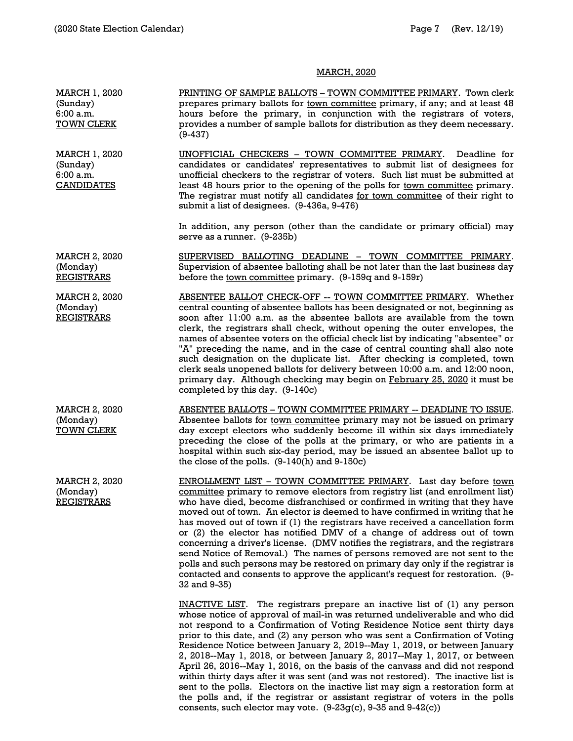## MARCH, 2020

| <b>MARCH 1, 2020</b><br>(Sunday)<br>6:00 a.m.<br><b>TOWN CLERK</b> | PRINTING OF SAMPLE BALLOTS - TOWN COMMITTEE PRIMARY. Town clerk<br>prepares primary ballots for town committee primary, if any; and at least 48<br>hours before the primary, in conjunction with the registrars of voters,<br>provides a number of sample ballots for distribution as they deem necessary.<br>$(9-437)$                                                                                                                                                                                                                                                                                                                                                                                                                                                                                                       |
|--------------------------------------------------------------------|-------------------------------------------------------------------------------------------------------------------------------------------------------------------------------------------------------------------------------------------------------------------------------------------------------------------------------------------------------------------------------------------------------------------------------------------------------------------------------------------------------------------------------------------------------------------------------------------------------------------------------------------------------------------------------------------------------------------------------------------------------------------------------------------------------------------------------|
| MARCH 1, 2020<br>(Sunday)<br>6:00 a.m.<br><b>CANDIDATES</b>        | UNOFFICIAL CHECKERS - TOWN COMMITTEE PRIMARY.<br>Deadline for<br>candidates or candidates' representatives to submit list of designees for<br>unofficial checkers to the registrar of voters. Such list must be submitted at<br>least 48 hours prior to the opening of the polls for <u>town committee</u> primary.<br>The registrar must notify all candidates for town committee of their right to<br>submit a list of designees. (9-436a, 9-476)                                                                                                                                                                                                                                                                                                                                                                           |
|                                                                    | In addition, any person (other than the candidate or primary official) may<br>serve as a runner. (9-235b)                                                                                                                                                                                                                                                                                                                                                                                                                                                                                                                                                                                                                                                                                                                     |
| <b>MARCH 2, 2020</b><br>(Monday)<br><b>REGISTRARS</b>              | SUPERVISED BALLOTING DEADLINE - TOWN COMMITTEE PRIMARY.<br>Supervision of absentee balloting shall be not later than the last business day<br>before the <u>town committee</u> primary. (9-159q and 9-159r)                                                                                                                                                                                                                                                                                                                                                                                                                                                                                                                                                                                                                   |
| <b>MARCH 2, 2020</b><br>(Monday)<br><b>REGISTRARS</b>              | ABSENTEE BALLOT CHECK-OFF -- TOWN COMMITTEE PRIMARY. Whether<br>central counting of absentee ballots has been designated or not, beginning as<br>soon after 11:00 a.m. as the absentee ballots are available from the town<br>clerk, the registrars shall check, without opening the outer envelopes, the<br>names of absentee voters on the official check list by indicating "absentee" or<br>"A" preceding the name, and in the case of central counting shall also note<br>such designation on the duplicate list. After checking is completed, town<br>clerk seals unopened ballots for delivery between 10:00 a.m. and 12:00 noon,<br>primary day. Although checking may begin on February 25, 2020 it must be<br>completed by this day. (9-140c)                                                                       |
| <b>MARCH 2, 2020</b><br>(Monday)<br><b>TOWN CLERK</b>              | ABSENTEE BALLOTS - TOWN COMMITTEE PRIMARY -- DEADLINE TO ISSUE.<br>Absentee ballots for <u>town committee</u> primary may not be issued on primary<br>day except electors who suddenly become ill within six days immediately<br>preceding the close of the polls at the primary, or who are patients in a<br>hospital within such six-day period, may be issued an absentee ballot up to<br>the close of the polls. $(9-140(h)$ and $9-150c)$                                                                                                                                                                                                                                                                                                                                                                                |
| <b>MARCH 2, 2020</b><br>(Monday)<br><b>REGISTRARS</b>              | ENROLLMENT LIST - TOWN COMMITTEE PRIMARY. Last day before town<br>committee primary to remove electors from registry list (and enrollment list)<br>who have died, become disfranchised or confirmed in writing that they have<br>moved out of town. An elector is deemed to have confirmed in writing that he<br>has moved out of town if (1) the registrars have received a cancellation form<br>or (2) the elector has notified DMV of a change of address out of town<br>concerning a driver's license. (DMV notifies the registrars, and the registrars<br>send Notice of Removal.) The names of persons removed are not sent to the<br>polls and such persons may be restored on primary day only if the registrar is<br>contacted and consents to approve the applicant's request for restoration. (9-<br>32 and 9-35)  |
|                                                                    | <b>INACTIVE LIST.</b> The registrars prepare an inactive list of (1) any person<br>whose notice of approval of mail-in was returned undeliverable and who did<br>not respond to a Confirmation of Voting Residence Notice sent thirty days<br>prior to this date, and (2) any person who was sent a Confirmation of Voting<br>Residence Notice between January 2, 2019--May 1, 2019, or between January<br>2, 2018--May 1, 2018, or between January 2, 2017--May 1, 2017, or between<br>April 26, 2016--May 1, 2016, on the basis of the canvass and did not respond<br>within thirty days after it was sent (and was not restored). The inactive list is<br>sent to the polls. Electors on the inactive list may sign a restoration form at<br>the polls and, if the registrar or assistant registrar of voters in the polls |

consents, such elector may vote. (9-23g(c), 9-35 and 9-42(c))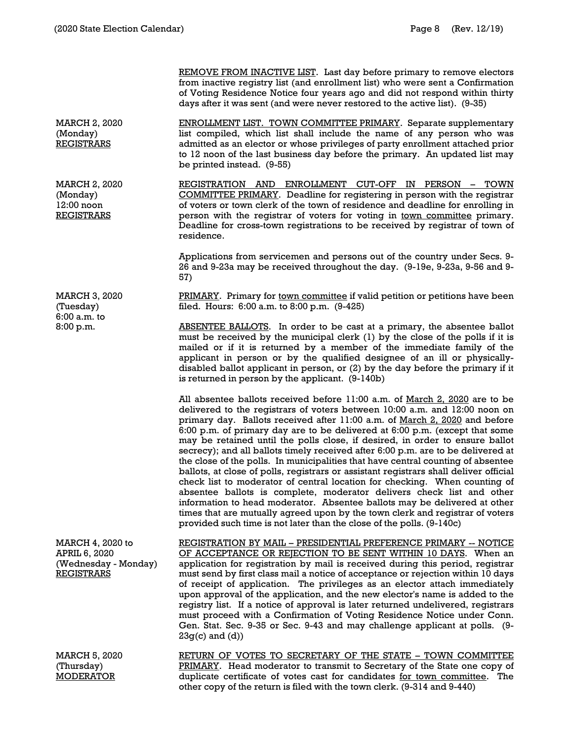REMOVE FROM INACTIVE LIST. Last day before primary to remove electors from inactive registry list (and enrollment list) who were sent a Confirmation of Voting Residence Notice four years ago and did not respond within thirty days after it was sent (and were never restored to the active list). (9-35)

ENROLLMENT LIST. TOWN COMMITTEE PRIMARY. Separate supplementary list compiled, which list shall include the name of any person who was admitted as an elector or whose privileges of party enrollment attached prior to 12 noon of the last business day before the primary. An updated list may be printed instead. (9-55)

REGISTRATION AND ENROLLMENT CUT-OFF IN PERSON - TOWN COMMITTEE PRIMARY. Deadline for registering in person with the registrar of voters or town clerk of the town of residence and deadline for enrolling in person with the registrar of voters for voting in town committee primary. Deadline for cross-town registrations to be received by registrar of town of residence.

Applications from servicemen and persons out of the country under Secs. 9- 26 and 9-23a may be received throughout the day. (9-19e, 9-23a, 9-56 and 9- 57)

PRIMARY. Primary for town committee if valid petition or petitions have been filed. Hours: 6:00 a.m. to 8:00 p.m. (9-425)

ABSENTEE BALLOTS. In order to be cast at a primary, the absentee ballot must be received by the municipal clerk (1) by the close of the polls if it is mailed or if it is returned by a member of the immediate family of the applicant in person or by the qualified designee of an ill or physicallydisabled ballot applicant in person, or (2) by the day before the primary if it is returned in person by the applicant. (9-140b)

All absentee ballots received before 11:00 a.m. of March 2, 2020 are to be delivered to the registrars of voters between 10:00 a.m. and 12:00 noon on primary day. Ballots received after 11:00 a.m. of March 2, 2020 and before 6:00 p.m. of primary day are to be delivered at 6:00 p.m. (except that some may be retained until the polls close, if desired, in order to ensure ballot secrecy); and all ballots timely received after 6:00 p.m. are to be delivered at the close of the polls. In municipalities that have central counting of absentee ballots, at close of polls, registrars or assistant registrars shall deliver official check list to moderator of central location for checking. When counting of absentee ballots is complete, moderator delivers check list and other information to head moderator. Absentee ballots may be delivered at other times that are mutually agreed upon by the town clerk and registrar of voters provided such time is not later than the close of the polls. (9-140c)

REGISTRATION BY MAIL – PRESIDENTIAL PREFERENCE PRIMARY -- NOTICE OF ACCEPTANCE OR REJECTION TO BE SENT WITHIN 10 DAYS. When an application for registration by mail is received during this period, registrar must send by first class mail a notice of acceptance or rejection within 10 days of receipt of application. The privileges as an elector attach immediately upon approval of the application, and the new elector's name is added to the registry list. If a notice of approval is later returned undelivered, registrars must proceed with a Confirmation of Voting Residence Notice under Conn. Gen. Stat. Sec. 9-35 or Sec. 9-43 and may challenge applicant at polls. (9-  $23g(c)$  and  $(d)$ )

RETURN OF VOTES TO SECRETARY OF THE STATE – TOWN COMMITTEE PRIMARY. Head moderator to transmit to Secretary of the State one copy of duplicate certificate of votes cast for candidates for town committee. The other copy of the return is filed with the town clerk. (9-314 and 9-440)

MARCH 2, 2020 (Monday) **REGISTRARS** 

MARCH 2, 2020 (Monday) 12:00 noon REGISTRARS

MARCH 3, 2020 (Tuesday) 6:00 a.m. to 8:00 p.m.

MARCH 4, 2020 to APRIL 6, 2020 (Wednesday - Monday) REGISTRARS

MARCH 5, 2020 (Thursday) MODERATOR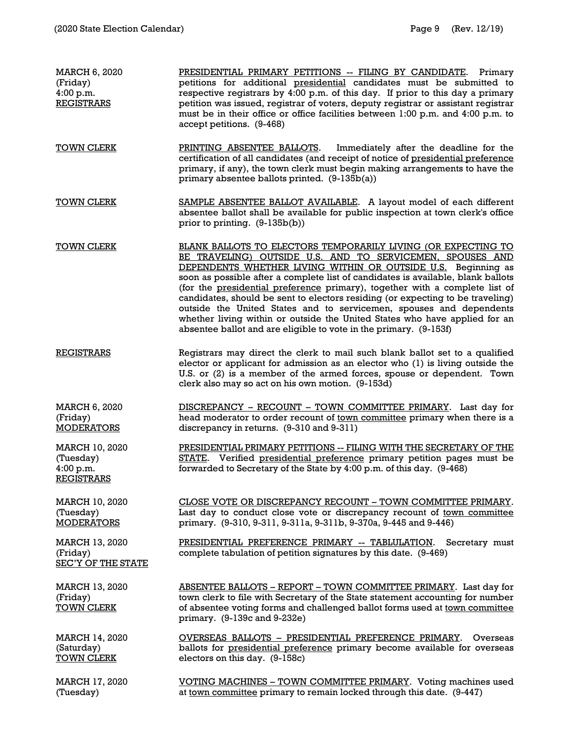| <b>MARCH 6, 2020</b><br>(Friday)<br>4:00 p.m.<br><b>REGISTRARS</b> | PRESIDENTIAL PRIMARY PETITIONS -- FILING BY CANDIDATE. Primary<br>petitions for additional presidential candidates must be submitted to<br>respective registrars by 4:00 p.m. of this day. If prior to this day a primary<br>petition was issued, registrar of voters, deputy registrar or assistant registrar<br>must be in their office or office facilities between 1:00 p.m. and 4:00 p.m. to<br>accept petitions. (9-468)                                                                                                                                                                                                                                             |
|--------------------------------------------------------------------|----------------------------------------------------------------------------------------------------------------------------------------------------------------------------------------------------------------------------------------------------------------------------------------------------------------------------------------------------------------------------------------------------------------------------------------------------------------------------------------------------------------------------------------------------------------------------------------------------------------------------------------------------------------------------|
| <b>TOWN CLERK</b>                                                  | PRINTING ABSENTEE BALLOTS.<br>Immediately after the deadline for the<br>certification of all candidates (and receipt of notice of presidential preference<br>primary, if any), the town clerk must begin making arrangements to have the<br>primary absentee ballots printed. (9-135b(a))                                                                                                                                                                                                                                                                                                                                                                                  |
| <b>TOWN CLERK</b>                                                  | SAMPLE ABSENTEE BALLOT AVAILABLE. A layout model of each different<br>absentee ballot shall be available for public inspection at town clerk's office<br>prior to printing. (9-135b(b))                                                                                                                                                                                                                                                                                                                                                                                                                                                                                    |
| <b>TOWN CLERK</b>                                                  | BLANK BALLOTS TO ELECTORS TEMPORARILY LIVING (OR EXPECTING TO<br>BE TRAVELING) OUTSIDE U.S. AND TO SERVICEMEN, SPOUSES AND<br>DEPENDENTS WHETHER LIVING WITHIN OR OUTSIDE U.S. Beginning as<br>soon as possible after a complete list of candidates is available, blank ballots<br>(for the presidential preference primary), together with a complete list of<br>candidates, should be sent to electors residing (or expecting to be traveling)<br>outside the United States and to servicemen, spouses and dependents<br>whether living within or outside the United States who have applied for an<br>absentee ballot and are eligible to vote in the primary. (9-153f) |
| <b>REGISTRARS</b>                                                  | Registrars may direct the clerk to mail such blank ballot set to a qualified<br>elector or applicant for admission as an elector who (1) is living outside the<br>U.S. or (2) is a member of the armed forces, spouse or dependent. Town<br>clerk also may so act on his own motion. (9-153d)                                                                                                                                                                                                                                                                                                                                                                              |
| MARCH 6, 2020<br>(Friday)<br><b>MODERATORS</b>                     | DISCREPANCY - RECOUNT - TOWN COMMITTEE PRIMARY. Last day for<br>head moderator to order recount of town committee primary when there is a<br>discrepancy in returns. (9-310 and 9-311)                                                                                                                                                                                                                                                                                                                                                                                                                                                                                     |
| MARCH 10, 2020<br>(Tuesday)<br>4:00 p.m.<br><b>REGISTRARS</b>      | PRESIDENTIAL PRIMARY PETITIONS -- FILING WITH THE SECRETARY OF THE<br>STATE. Verified presidential preference primary petition pages must be<br>forwarded to Secretary of the State by 4:00 p.m. of this day. (9-468)                                                                                                                                                                                                                                                                                                                                                                                                                                                      |
| MARCH 10, 2020<br>(Tuesday)<br><b>MODERATORS</b>                   | CLOSE VOTE OR DISCREPANCY RECOUNT - TOWN COMMITTEE PRIMARY.<br>Last day to conduct close vote or discrepancy recount of town committee<br>primary. (9-310, 9-311, 9-311a, 9-311b, 9-370a, 9-445 and 9-446)                                                                                                                                                                                                                                                                                                                                                                                                                                                                 |
| MARCH 13, 2020<br>(Friday)<br><b>SEC'Y OF THE STATE</b>            | PRESIDENTIAL PREFERENCE PRIMARY -- TABLULATION.<br>Secretary must<br>complete tabulation of petition signatures by this date. (9-469)                                                                                                                                                                                                                                                                                                                                                                                                                                                                                                                                      |
| MARCH 13, 2020<br>(Friday)<br><b>TOWN CLERK</b>                    | ABSENTEE BALLOTS - REPORT - TOWN COMMITTEE PRIMARY. Last day for<br>town clerk to file with Secretary of the State statement accounting for number<br>of absentee voting forms and challenged ballot forms used at town committee<br>primary. (9-139c and 9-232e)                                                                                                                                                                                                                                                                                                                                                                                                          |
| <b>MARCH 14, 2020</b><br>(Saturday)<br><b>TOWN CLERK</b>           | OVERSEAS BALLOTS - PRESIDENTIAL PREFERENCE PRIMARY.<br>Overseas<br>ballots for presidential preference primary become available for overseas<br>electors on this day. (9-158c)                                                                                                                                                                                                                                                                                                                                                                                                                                                                                             |
| MARCH 17, 2020<br>(Tuesday)                                        | VOTING MACHINES - TOWN COMMITTEE PRIMARY. Voting machines used<br>at town committee primary to remain locked through this date. (9-447)                                                                                                                                                                                                                                                                                                                                                                                                                                                                                                                                    |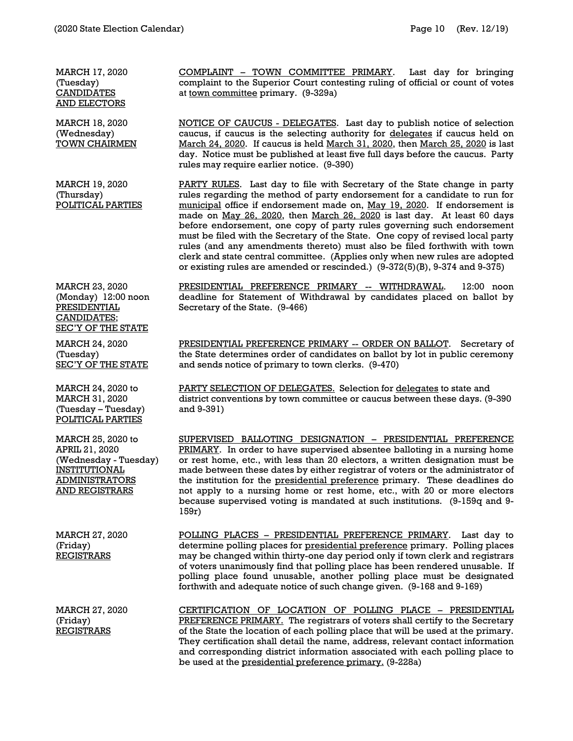MARCH 17, 2020 (Tuesday) **CANDIDATES** AND ELECTORS

MARCH 18, 2020 (Wednesday) TOWN CHAIRMEN

MARCH 19, 2020 (Thursday) POLITICAL PARTIES

MARCH 23, 2020 (Monday) 12:00 noon PRESIDENTIAL CANDIDATES; SEC'Y OF THE STATE

MARCH 24, 2020 (Tuesday) **SEC'Y OF THE STATE** 

MARCH 24, 2020 to MARCH 31, 2020 (Tuesday – Tuesday) POLITICAL PARTIES

MARCH 25, 2020 to APRIL 21, 2020 (Wednesday - Tuesday) INSTITUTIONAL ADMINISTRATORS AND REGISTRARS

MARCH 27, 2020 (Friday) **REGISTRARS** 

MARCH 27, 2020 (Friday) **REGISTRARS** 

COMPLAINT – TOWN COMMITTEE PRIMARY. Last day for bringing complaint to the Superior Court contesting ruling of official or count of votes at town committee primary. (9-329a)

NOTICE OF CAUCUS - DELEGATES. Last day to publish notice of selection caucus, if caucus is the selecting authority for delegates if caucus held on March 24, 2020. If caucus is held March 31, 2020, then March 25, 2020 is last day. Notice must be published at least five full days before the caucus. Party rules may require earlier notice. (9-390)

PARTY RULES. Last day to file with Secretary of the State change in party rules regarding the method of party endorsement for a candidate to run for municipal office if endorsement made on, May 19, 2020. If endorsement is made on May 26, 2020, then March 26, 2020 is last day. At least 60 days before endorsement, one copy of party rules governing such endorsement must be filed with the Secretary of the State. One copy of revised local party rules (and any amendments thereto) must also be filed forthwith with town clerk and state central committee. (Applies only when new rules are adopted or existing rules are amended or rescinded.) (9-372(5)(B), 9-374 and 9-375)

PRESIDENTIAL PREFERENCE PRIMARY -- WITHDRAWAL. 12:00 noon deadline for Statement of Withdrawal by candidates placed on ballot by Secretary of the State. (9-466)

PRESIDENTIAL PREFERENCE PRIMARY -- ORDER ON BALLOT. Secretary of the State determines order of candidates on ballot by lot in public ceremony and sends notice of primary to town clerks. (9-470)

PARTY SELECTION OF DELEGATES. Selection for delegates to state and district conventions by town committee or caucus between these days. (9-390 and 9-391)

SUPERVISED BALLOTING DESIGNATION – PRESIDENTIAL PREFERENCE PRIMARY. In order to have supervised absentee balloting in a nursing home or rest home, etc., with less than 20 electors, a written designation must be made between these dates by either registrar of voters or the administrator of the institution for the presidential preference primary. These deadlines do not apply to a nursing home or rest home, etc., with 20 or more electors because supervised voting is mandated at such institutions. (9-159q and 9- 159r)

POLLING PLACES – PRESIDENTIAL PREFERENCE PRIMARY. Last day to determine polling places for presidential preference primary. Polling places may be changed within thirty-one day period only if town clerk and registrars of voters unanimously find that polling place has been rendered unusable. If polling place found unusable, another polling place must be designated forthwith and adequate notice of such change given. (9-168 and 9-169)

CERTIFICATION OF LOCATION OF POLLING PLACE – PRESIDENTIAL PREFERENCE PRIMARY. The registrars of voters shall certify to the Secretary of the State the location of each polling place that will be used at the primary. They certification shall detail the name, address, relevant contact information and corresponding district information associated with each polling place to be used at the presidential preference primary. (9-228a)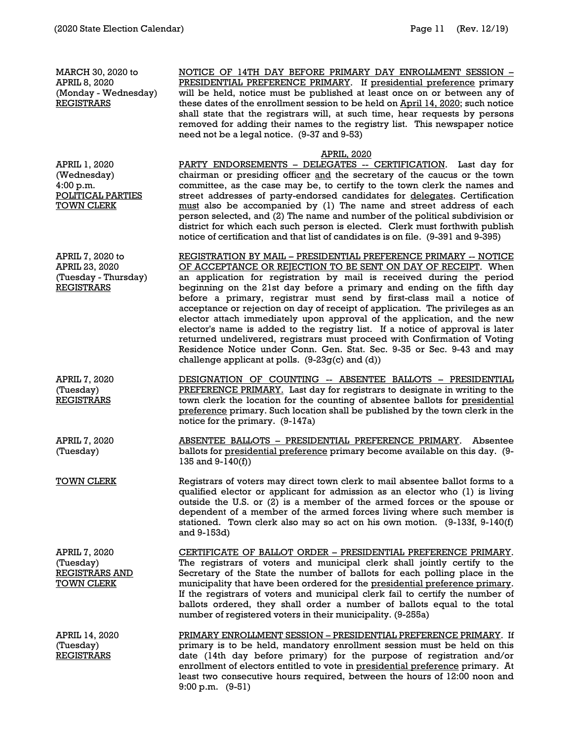MARCH 30, 2020 to APRIL 8, 2020 (Monday - Wednesday) **REGISTRARS** 

NOTICE OF 14TH DAY BEFORE PRIMARY DAY ENROLLMENT SESSION – PRESIDENTIAL PREFERENCE PRIMARY. If presidential preference primary will be held, notice must be published at least once on or between any of these dates of the enrollment session to be held on April 14, 2020; such notice shall state that the registrars will, at such time, hear requests by persons removed for adding their names to the registry list. This newspaper notice need not be a legal notice. (9-37 and 9-53)

#### APRIL, 2020

APRIL 1, 2020 (Wednesday) 4:00 p.m. POLITICAL PARTIES TOWN CLERK

PARTY ENDORSEMENTS - DELEGATES -- CERTIFICATION. Last day for chairman or presiding officer and the secretary of the caucus or the town committee, as the case may be, to certify to the town clerk the names and street addresses of party-endorsed candidates for delegates. Certification must also be accompanied by (1) The name and street address of each person selected, and (2) The name and number of the political subdivision or district for which each such person is elected. Clerk must forthwith publish notice of certification and that list of candidates is on file. (9-391 and 9-395)

REGISTRATION BY MAIL – PRESIDENTIAL PREFERENCE PRIMARY -- NOTICE OF ACCEPTANCE OR REJECTION TO BE SENT ON DAY OF RECEIPT. When an application for registration by mail is received during the period beginning on the 21st day before a primary and ending on the fifth day before a primary, registrar must send by first-class mail a notice of acceptance or rejection on day of receipt of application. The privileges as an elector attach immediately upon approval of the application, and the new elector's name is added to the registry list. If a notice of approval is later returned undelivered, registrars must proceed with Confirmation of Voting Residence Notice under Conn. Gen. Stat. Sec. 9-35 or Sec. 9-43 and may challenge applicant at polls.  $(9-23g(c)$  and  $(d))$ 

DESIGNATION OF COUNTING -- ABSENTEE BALLOTS – PRESIDENTIAL PREFERENCE PRIMARY. Last day for registrars to designate in writing to the town clerk the location for the counting of absentee ballots for presidential preference primary. Such location shall be published by the town clerk in the notice for the primary. (9-147a)

ABSENTEE BALLOTS – PRESIDENTIAL PREFERENCE PRIMARY. Absentee ballots for presidential preference primary become available on this day. (9- 135 and 9-140(f))

TOWN CLERK Registrars of voters may direct town clerk to mail absentee ballot forms to a qualified elector or applicant for admission as an elector who (1) is living outside the U.S. or (2) is a member of the armed forces or the spouse or dependent of a member of the armed forces living where such member is stationed. Town clerk also may so act on his own motion. (9-133f, 9-140(f) and 9-153d)

CERTIFICATE OF BALLOT ORDER – PRESIDENTIAL PREFERENCE PRIMARY. The registrars of voters and municipal clerk shall jointly certify to the Secretary of the State the number of ballots for each polling place in the municipality that have been ordered for the presidential preference primary. If the registrars of voters and municipal clerk fail to certify the number of ballots ordered, they shall order a number of ballots equal to the total number of registered voters in their municipality. (9-255a)

> PRIMARY ENROLLMENT SESSION – PRESIDENTIAL PREFERENCE PRIMARY. If primary is to be held, mandatory enrollment session must be held on this date (14th day before primary) for the purpose of registration and/or enrollment of electors entitled to vote in presidential preference primary. At least two consecutive hours required, between the hours of 12:00 noon and 9:00 p.m. (9-51)

APRIL 7, 2020 to APRIL 23, 2020 (Tuesday - Thursday) **REGISTRARS** 

APRIL 7, 2020 (Tuesday) REGISTRARS

APRIL 7, 2020 (Tuesday)

APRIL 7, 2020 (Tuesday) REGISTRARS AND TOWN CLERK

APRIL 14, 2020 (Tuesday) REGISTRARS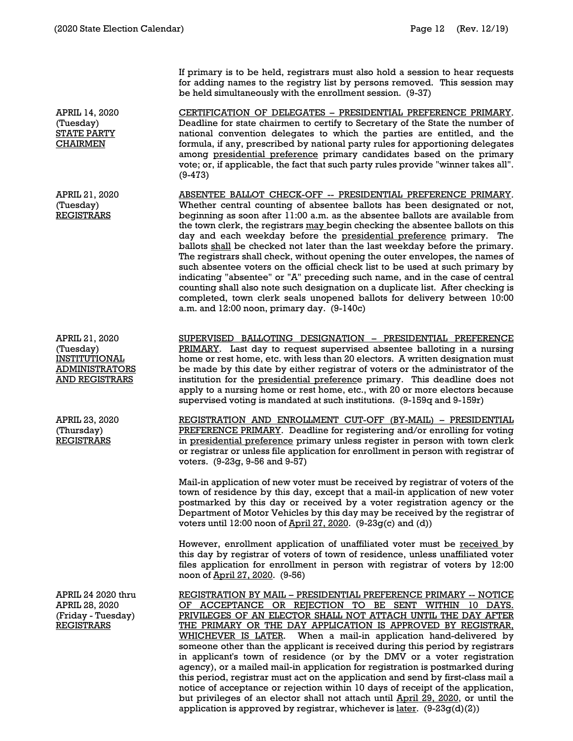If primary is to be held, registrars must also hold a session to hear requests for adding names to the registry list by persons removed. This session may be held simultaneously with the enrollment session. (9-37)

CERTIFICATION OF DELEGATES – PRESIDENTIAL PREFERENCE PRIMARY. Deadline for state chairmen to certify to Secretary of the State the number of national convention delegates to which the parties are entitled, and the formula, if any, prescribed by national party rules for apportioning delegates among presidential preference primary candidates based on the primary vote; or, if applicable, the fact that such party rules provide "winner takes all". (9-473)

ABSENTEE BALLOT CHECK-OFF -- PRESIDENTIAL PREFERENCE PRIMARY. Whether central counting of absentee ballots has been designated or not, beginning as soon after 11:00 a.m. as the absentee ballots are available from the town clerk, the registrars may begin checking the absentee ballots on this day and each weekday before the presidential preference primary. The ballots shall be checked not later than the last weekday before the primary. The registrars shall check, without opening the outer envelopes, the names of such absentee voters on the official check list to be used at such primary by indicating "absentee" or "A" preceding such name, and in the case of central counting shall also note such designation on a duplicate list. After checking is completed, town clerk seals unopened ballots for delivery between 10:00 a.m. and 12:00 noon, primary day. (9-140c)

SUPERVISED BALLOTING DESIGNATION – PRESIDENTIAL PREFERENCE PRIMARY. Last day to request supervised absentee balloting in a nursing home or rest home, etc. with less than 20 electors. A written designation must be made by this date by either registrar of voters or the administrator of the institution for the presidential preference primary. This deadline does not apply to a nursing home or rest home, etc., with 20 or more electors because supervised voting is mandated at such institutions. (9-159q and 9-159r)

REGISTRATION AND ENROLLMENT CUT-OFF (BY-MAIL) – PRESIDENTIAL PREFERENCE PRIMARY. Deadline for registering and/or enrolling for voting in presidential preference primary unless register in person with town clerk or registrar or unless file application for enrollment in person with registrar of voters. (9-23g, 9-56 and 9-57)

Mail-in application of new voter must be received by registrar of voters of the town of residence by this day, except that a mail-in application of new voter postmarked by this day or received by a voter registration agency or the Department of Motor Vehicles by this day may be received by the registrar of voters until 12:00 noon of April 27, 2020. (9-23g(c) and (d))

However, enrollment application of unaffiliated voter must be received by this day by registrar of voters of town of residence, unless unaffiliated voter files application for enrollment in person with registrar of voters by 12:00 noon of April 27, 2020. (9-56)

REGISTRATION BY MAIL – PRESIDENTIAL PREFERENCE PRIMARY -- NOTICE OF ACCEPTANCE OR REJECTION TO BE SENT WITHIN 10 DAYS. PRIVILEGES OF AN ELECTOR SHALL NOT ATTACH UNTIL THE DAY AFTER THE PRIMARY OR THE DAY APPLICATION IS APPROVED BY REGISTRAR, WHICHEVER IS LATER. When a mail-in application hand-delivered by someone other than the applicant is received during this period by registrars in applicant's town of residence (or by the DMV or a voter registration agency), or a mailed mail-in application for registration is postmarked during this period, registrar must act on the application and send by first-class mail a notice of acceptance or rejection within 10 days of receipt of the application, but privileges of an elector shall not attach until April 29, 2020, or until the application is approved by registrar, whichever is <u>later</u>.  $(9-23g(d)(2))$ 

APRIL 14, 2020 (Tuesday) STATE PARTY CHAIRMEN

APRIL 21, 2020 (Tuesday) REGISTRARS

APRIL 21, 2020 (Tuesday) INSTITUTIONAL ADMINISTRATORS AND REGISTRARS

APRIL 23, 2020 (Thursday) REGISTRARS

APRIL 24 2020 thru APRIL 28, 2020 (Friday - Tuesday) REGISTRARS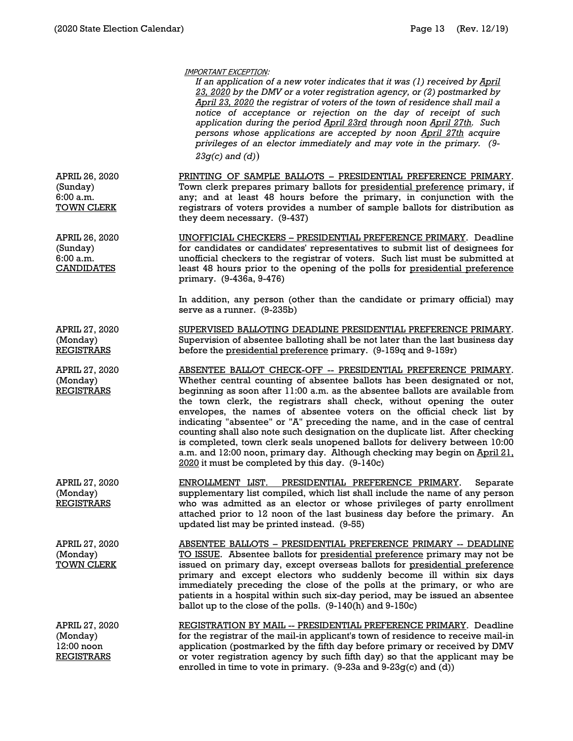|                                                               | IMPORTANT EXCEPTION:<br>If an application of a new voter indicates that it was (1) received by April<br>23, 2020 by the DMV or a voter registration agency, or (2) postmarked by<br>April 23, 2020 the registrar of voters of the town of residence shall mail a<br>notice of acceptance or rejection on the day of receipt of such<br>application during the period April 23rd through noon April 27th. Such<br>persons whose applications are accepted by noon April 27th acquire<br>privileges of an elector immediately and may vote in the primary. (9-<br>$23g(c)$ and $(d)$ )                                                                                                                                                                          |
|---------------------------------------------------------------|---------------------------------------------------------------------------------------------------------------------------------------------------------------------------------------------------------------------------------------------------------------------------------------------------------------------------------------------------------------------------------------------------------------------------------------------------------------------------------------------------------------------------------------------------------------------------------------------------------------------------------------------------------------------------------------------------------------------------------------------------------------|
| APRIL 26, 2020<br>(Sunday)<br>6:00a.m.<br><b>TOWN CLERK</b>   | PRINTING OF SAMPLE BALLOTS - PRESIDENTIAL PREFERENCE PRIMARY.<br>Town clerk prepares primary ballots for presidential preference primary, if<br>any; and at least 48 hours before the primary, in conjunction with the<br>registrars of voters provides a number of sample ballots for distribution as<br>they deem necessary. (9-437)                                                                                                                                                                                                                                                                                                                                                                                                                        |
| APRIL 26, 2020<br>(Sunday)<br>6:00a.m.<br><b>CANDIDATES</b>   | UNOFFICIAL CHECKERS - PRESIDENTIAL PREFERENCE PRIMARY. Deadline<br>for candidates or candidates' representatives to submit list of designees for<br>unofficial checkers to the registrar of voters. Such list must be submitted at<br>least 48 hours prior to the opening of the polls for presidential preference<br>primary. (9-436a, 9-476)                                                                                                                                                                                                                                                                                                                                                                                                                |
|                                                               | In addition, any person (other than the candidate or primary official) may<br>serve as a runner. (9-235b)                                                                                                                                                                                                                                                                                                                                                                                                                                                                                                                                                                                                                                                     |
| APRIL 27, 2020<br>(Monday)<br><b>REGISTRARS</b>               | SUPERVISED BALLOTING DEADLINE PRESIDENTIAL PREFERENCE PRIMARY.<br>Supervision of absentee balloting shall be not later than the last business day<br>before the presidential preference primary. (9-159q and 9-159r)                                                                                                                                                                                                                                                                                                                                                                                                                                                                                                                                          |
| APRIL 27, 2020<br>(Monday)<br><b>REGISTRARS</b>               | ABSENTEE BALLOT CHECK-OFF -- PRESIDENTIAL PREFERENCE PRIMARY.<br>Whether central counting of absentee ballots has been designated or not,<br>beginning as soon after 11:00 a.m. as the absentee ballots are available from<br>the town clerk, the registrars shall check, without opening the outer<br>envelopes, the names of absentee voters on the official check list by<br>indicating "absentee" or "A" preceding the name, and in the case of central<br>counting shall also note such designation on the duplicate list. After checking<br>is completed, town clerk seals unopened ballots for delivery between 10:00<br>a.m. and 12:00 noon, primary day. Although checking may begin on April 21.<br>2020 it must be completed by this day. (9-140c) |
| APRIL 27, 2020<br>(Monday)<br><b>REGISTRARS</b>               | PRESIDENTIAL PREFERENCE PRIMARY.<br><b>ENROLLMENT LIST.</b><br>Separate<br>supplementary list compiled, which list shall include the name of any person<br>who was admitted as an elector or whose privileges of party enrollment<br>attached prior to 12 noon of the last business day before the primary. An<br>updated list may be printed instead. (9-55)                                                                                                                                                                                                                                                                                                                                                                                                 |
| APRIL 27, 2020<br>(Monday)<br><b>TOWN CLERK</b>               | ABSENTEE BALLOTS - PRESIDENTIAL PREFERENCE PRIMARY -- DEADLINE<br>TO ISSUE. Absentee ballots for presidential preference primary may not be<br>issued on primary day, except overseas ballots for presidential preference<br>primary and except electors who suddenly become ill within six days<br>immediately preceding the close of the polls at the primary, or who are<br>patients in a hospital within such six-day period, may be issued an absentee<br>ballot up to the close of the polls. (9-140(h) and 9-150c)                                                                                                                                                                                                                                     |
| APRIL 27, 2020<br>(Monday)<br>12:00 noon<br><b>REGISTRARS</b> | REGISTRATION BY MAIL -- PRESIDENTIAL PREFERENCE PRIMARY. Deadline<br>for the registrar of the mail-in applicant's town of residence to receive mail-in<br>application (postmarked by the fifth day before primary or received by DMV<br>or voter registration agency by such fifth day) so that the applicant may be<br>enrolled in time to vote in primary. $(9-23a$ and $9-23g(c)$ and $(d)$ )                                                                                                                                                                                                                                                                                                                                                              |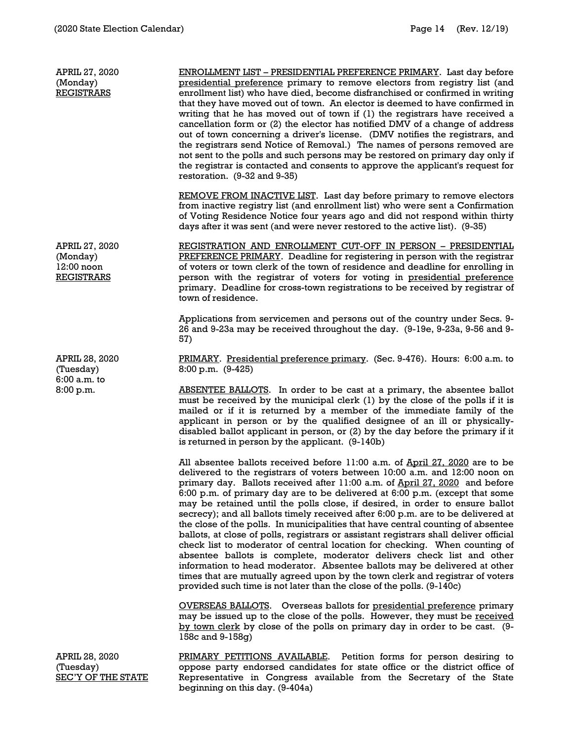| APRIL 27, 2020<br>(Monday)<br><b>REGISTRARS</b>                 | ENROLLMENT LIST – PRESIDENTIAL PREFERENCE PRIMARY. Last day before<br>presidential preference primary to remove electors from registry list (and<br>enrollment list) who have died, become disfranchised or confirmed in writing<br>that they have moved out of town. An elector is deemed to have confirmed in<br>writing that he has moved out of town if (1) the registrars have received a<br>cancellation form or (2) the elector has notified DMV of a change of address<br>out of town concerning a driver's license. (DMV notifies the registrars, and<br>the registrars send Notice of Removal.) The names of persons removed are<br>not sent to the polls and such persons may be restored on primary day only if<br>the registrar is contacted and consents to approve the applicant's request for<br>restoration. (9-32 and 9-35)<br><b>REMOVE FROM INACTIVE LIST.</b> Last day before primary to remove electors                                                                                                                                          |
|-----------------------------------------------------------------|------------------------------------------------------------------------------------------------------------------------------------------------------------------------------------------------------------------------------------------------------------------------------------------------------------------------------------------------------------------------------------------------------------------------------------------------------------------------------------------------------------------------------------------------------------------------------------------------------------------------------------------------------------------------------------------------------------------------------------------------------------------------------------------------------------------------------------------------------------------------------------------------------------------------------------------------------------------------------------------------------------------------------------------------------------------------|
|                                                                 | from inactive registry list (and enrollment list) who were sent a Confirmation<br>of Voting Residence Notice four years ago and did not respond within thirty<br>days after it was sent (and were never restored to the active list). (9-35)                                                                                                                                                                                                                                                                                                                                                                                                                                                                                                                                                                                                                                                                                                                                                                                                                           |
| APRIL 27, 2020<br>(Monday)<br>$12:00$ noon<br><b>REGISTRARS</b> | REGISTRATION AND ENROLLMENT CUT-OFF IN PERSON - PRESIDENTIAL<br>PREFERENCE PRIMARY. Deadline for registering in person with the registrar<br>of voters or town clerk of the town of residence and deadline for enrolling in<br>person with the registrar of voters for voting in presidential preference<br>primary. Deadline for cross-town registrations to be received by registrar of<br>town of residence.                                                                                                                                                                                                                                                                                                                                                                                                                                                                                                                                                                                                                                                        |
|                                                                 | Applications from servicemen and persons out of the country under Secs. 9-<br>26 and 9-23a may be received throughout the day. (9-19e, 9-23a, 9-56 and 9-<br>57)                                                                                                                                                                                                                                                                                                                                                                                                                                                                                                                                                                                                                                                                                                                                                                                                                                                                                                       |
| APRIL 28, 2020<br>(Tuesday)<br>6:00 a.m. to                     | PRIMARY. Presidential preference primary. (Sec. 9-476). Hours: 6:00 a.m. to<br>$8:00$ p.m. $(9-425)$                                                                                                                                                                                                                                                                                                                                                                                                                                                                                                                                                                                                                                                                                                                                                                                                                                                                                                                                                                   |
| 8:00 p.m.                                                       | <b>ABSENTEE BALLOTS.</b> In order to be cast at a primary, the absentee ballot<br>must be received by the municipal clerk (1) by the close of the polls if it is<br>mailed or if it is returned by a member of the immediate family of the<br>applicant in person or by the qualified designee of an ill or physically-<br>disabled ballot applicant in person, or (2) by the day before the primary if it<br>is returned in person by the applicant. (9-140b)                                                                                                                                                                                                                                                                                                                                                                                                                                                                                                                                                                                                         |
|                                                                 | All absentee ballots received before 11:00 a.m. of April 27, 2020 are to be<br>delivered to the registrars of voters between 10:00 a.m. and 12:00 noon on<br>primary day. Ballots received after 11:00 a.m. of April 27, 2020 and before<br>6:00 p.m. of primary day are to be delivered at 6:00 p.m. (except that some<br>may be retained until the polls close, if desired, in order to ensure ballot<br>secrecy); and all ballots timely received after 6:00 p.m. are to be delivered at<br>the close of the polls. In municipalities that have central counting of absentee<br>ballots, at close of polls, registrars or assistant registrars shall deliver official<br>check list to moderator of central location for checking. When counting of<br>absentee ballots is complete, moderator delivers check list and other<br>information to head moderator. Absentee ballots may be delivered at other<br>times that are mutually agreed upon by the town clerk and registrar of voters<br>provided such time is not later than the close of the polls. (9-140c) |
|                                                                 | <b>OVERSEAS BALLOTS.</b> Overseas ballots for presidential preference primary<br>may be issued up to the close of the polls. However, they must be received<br>by town clerk by close of the polls on primary day in order to be cast. (9-<br>158c and 9-158g)                                                                                                                                                                                                                                                                                                                                                                                                                                                                                                                                                                                                                                                                                                                                                                                                         |
| APRIL 28, 2020<br>(Tuesday)<br><b>SEC'Y OF THE STATE</b>        | Petition forms for person desiring to<br><u>PRIMARY PETITIONS AVAILABLE.</u><br>oppose party endorsed candidates for state office or the district office of<br>Representative in Congress available from the Secretary of the State                                                                                                                                                                                                                                                                                                                                                                                                                                                                                                                                                                                                                                                                                                                                                                                                                                    |

beginning on this day. (9-404a)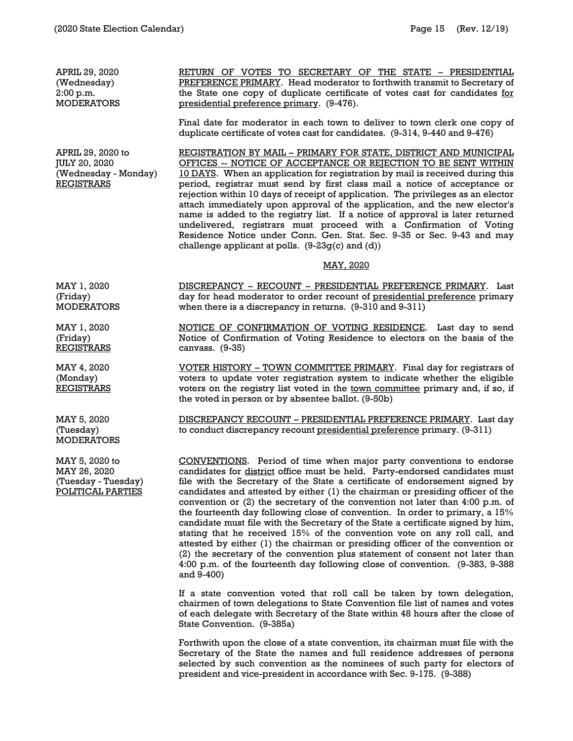| APRIL 29, 2020<br>(Wednesday)<br>2:00 p.m.<br><b>MODERATORS</b>                        | RETURN OF VOTES TO SECRETARY OF THE STATE - PRESIDENTIAL<br>PREFERENCE PRIMARY. Head moderator to forthwith transmit to Secretary of<br>the State one copy of duplicate certificate of votes cast for candidates for<br>presidential preference primary. (9-476).                                                                                                                                                                                                                                                                                                                                                                                                                                                                                                                                                                                                                                                      |
|----------------------------------------------------------------------------------------|------------------------------------------------------------------------------------------------------------------------------------------------------------------------------------------------------------------------------------------------------------------------------------------------------------------------------------------------------------------------------------------------------------------------------------------------------------------------------------------------------------------------------------------------------------------------------------------------------------------------------------------------------------------------------------------------------------------------------------------------------------------------------------------------------------------------------------------------------------------------------------------------------------------------|
|                                                                                        | Final date for moderator in each town to deliver to town clerk one copy of<br>duplicate certificate of votes cast for candidates. (9-314, 9-440 and 9-476)                                                                                                                                                                                                                                                                                                                                                                                                                                                                                                                                                                                                                                                                                                                                                             |
| APRIL 29, 2020 to<br><b>JULY 20, 2020</b><br>(Wednesday - Monday)<br><b>REGISTRARS</b> | REGISTRATION BY MAIL - PRIMARY FOR STATE, DISTRICT AND MUNICIPAL<br>OFFICES -- NOTICE OF ACCEPTANCE OR REJECTION TO BE SENT WITHIN<br>10 DAYS. When an application for registration by mail is received during this<br>period, registrar must send by first class mail a notice of acceptance or<br>rejection within 10 days of receipt of application. The privileges as an elector<br>attach immediately upon approval of the application, and the new elector's<br>name is added to the registry list. If a notice of approval is later returned<br>undelivered, registrars must proceed with a Confirmation of Voting<br>Residence Notice under Conn. Gen. Stat. Sec. 9-35 or Sec. 9-43 and may<br>challenge applicant at polls. $(9-23g(c)$ and $(d))$                                                                                                                                                            |
|                                                                                        | <u>MAY, 2020</u>                                                                                                                                                                                                                                                                                                                                                                                                                                                                                                                                                                                                                                                                                                                                                                                                                                                                                                       |
| MAY 1, 2020<br>(Friday)<br><b>MODERATORS</b>                                           | DISCREPANCY - RECOUNT - PRESIDENTIAL PREFERENCE PRIMARY. Last<br>day for head moderator to order recount of presidential preference primary<br>when there is a discrepancy in returns. (9-310 and 9-311)                                                                                                                                                                                                                                                                                                                                                                                                                                                                                                                                                                                                                                                                                                               |
| MAY 1, 2020<br>(Friday)<br><b>REGISTRARS</b>                                           | NOTICE OF CONFIRMATION OF VOTING RESIDENCE. Last day to send<br>Notice of Confirmation of Voting Residence to electors on the basis of the<br>canvass. (9-35)                                                                                                                                                                                                                                                                                                                                                                                                                                                                                                                                                                                                                                                                                                                                                          |
| MAY 4, 2020<br>(Monday)<br><b>REGISTRARS</b>                                           | VOTER HISTORY - TOWN COMMITTEE PRIMARY. Final day for registrars of<br>voters to update voter registration system to indicate whether the eligible<br>voters on the registry list voted in the town committee primary and, if so, if<br>the voted in person or by absentee ballot. (9-50b)                                                                                                                                                                                                                                                                                                                                                                                                                                                                                                                                                                                                                             |
| MAY 5, 2020<br>(Tuesday)<br><b>MODERATORS</b>                                          | DISCREPANCY RECOUNT - PRESIDENTIAL PREFERENCE PRIMARY. Last day<br>to conduct discrepancy recount presidential preference primary. (9-311)                                                                                                                                                                                                                                                                                                                                                                                                                                                                                                                                                                                                                                                                                                                                                                             |
| MAY 5, 2020 to<br>MAY 26, 2020<br>(Tuesday - Tuesday)<br>POLITICAL PARTIES             | CONVENTIONS. Period of time when major party conventions to endorse<br>candidates for district office must be held. Party-endorsed candidates must<br>file with the Secretary of the State a certificate of endorsement signed by<br>candidates and attested by either (1) the chairman or presiding officer of the<br>convention or $(2)$ the secretary of the convention not later than 4:00 p.m. of<br>the fourteenth day following close of convention. In order to primary, a 15%<br>candidate must file with the Secretary of the State a certificate signed by him,<br>stating that he received 15% of the convention vote on any roll call, and<br>attested by either (1) the chairman or presiding officer of the convention or<br>(2) the secretary of the convention plus statement of consent not later than<br>4:00 p.m. of the fourteenth day following close of convention. (9-383, 9-388<br>and 9-400) |

If a state convention voted that roll call be taken by town delegation, chairmen of town delegations to State Convention file list of names and votes of each delegate with Secretary of the State within 48 hours after the close of State Convention. (9-385a)

Forthwith upon the close of a state convention, its chairman must file with the Secretary of the State the names and full residence addresses of persons selected by such convention as the nominees of such party for electors of president and vice-president in accordance with Sec. 9-175. (9-388)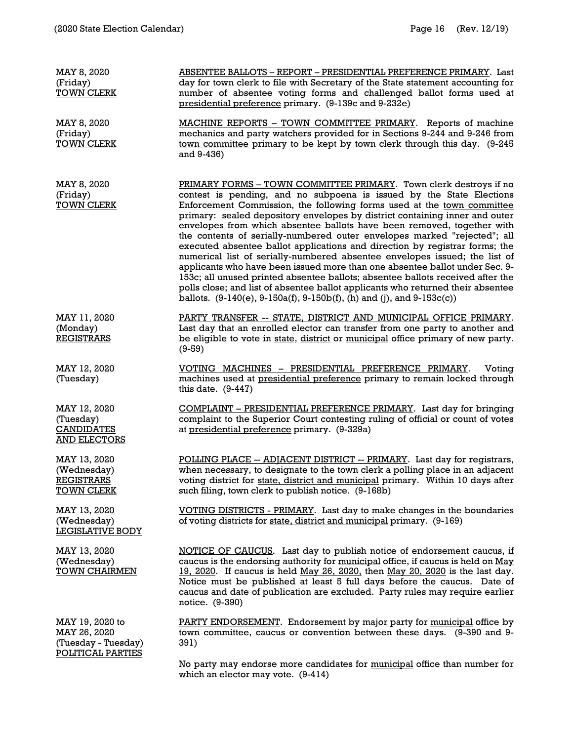| MAY 8, 2020<br>(Friday)<br><b>TOWN CLERK</b>                                | <b>ABSENTEE BALLOTS - REPORT - PRESIDENTIAL PREFERENCE PRIMARY. Last</b><br>day for town clerk to file with Secretary of the State statement accounting for<br>number of absentee voting forms and challenged ballot forms used at<br>presidential preference primary. (9-139c and 9-232e)                                                                                                                                                                                                                                                                                                                                                                                                                                                                                                                                                                                                                                                              |
|-----------------------------------------------------------------------------|---------------------------------------------------------------------------------------------------------------------------------------------------------------------------------------------------------------------------------------------------------------------------------------------------------------------------------------------------------------------------------------------------------------------------------------------------------------------------------------------------------------------------------------------------------------------------------------------------------------------------------------------------------------------------------------------------------------------------------------------------------------------------------------------------------------------------------------------------------------------------------------------------------------------------------------------------------|
| MAY 8, 2020<br>(Friday)<br><b>TOWN CLERK</b>                                | <b>MACHINE REPORTS - TOWN COMMITTEE PRIMARY.</b> Reports of machine<br>mechanics and party watchers provided for in Sections 9-244 and 9-246 from<br>town committee primary to be kept by town clerk through this day. (9-245<br>and 9-436)                                                                                                                                                                                                                                                                                                                                                                                                                                                                                                                                                                                                                                                                                                             |
| MAY 8, 2020<br>(Friday)<br><b>TOWN CLERK</b>                                | PRIMARY FORMS - TOWN COMMITTEE PRIMARY. Town clerk destroys if no<br>contest is pending, and no subpoena is issued by the State Elections<br>Enforcement Commission, the following forms used at the town committee<br>primary: sealed depository envelopes by district containing inner and outer<br>envelopes from which absentee ballots have been removed, together with<br>the contents of serially-numbered outer envelopes marked "rejected"; all<br>executed absentee ballot applications and direction by registrar forms; the<br>numerical list of serially-numbered absentee envelopes issued; the list of<br>applicants who have been issued more than one absentee ballot under Sec. 9-<br>153c; all unused printed absentee ballots; absentee ballots received after the<br>polls close; and list of absentee ballot applicants who returned their absentee<br>ballots. $(9-140(e), 9-150a(f), 9-150b(f), (h)$ and (j), and $9-153c(c)$ ) |
| MAY 11, 2020<br>(Monday)<br><b>REGISTRARS</b>                               | PARTY TRANSFER -- STATE, DISTRICT AND MUNICIPAL OFFICE PRIMARY.<br>Last day that an enrolled elector can transfer from one party to another and<br>be eligible to vote in state, district or municipal office primary of new party.<br>$(9-59)$                                                                                                                                                                                                                                                                                                                                                                                                                                                                                                                                                                                                                                                                                                         |
| MAY 12, 2020<br>(Tuesday)                                                   | VOTING MACHINES - PRESIDENTIAL PREFERENCE PRIMARY.<br>Voting<br>machines used at presidential preference primary to remain locked through<br>this date. $(9-447)$                                                                                                                                                                                                                                                                                                                                                                                                                                                                                                                                                                                                                                                                                                                                                                                       |
| MAY 12, 2020<br>(Tuesday)<br><b>CANDIDATES</b><br><b>AND ELECTORS</b>       | COMPLAINT - PRESIDENTIAL PREFERENCE PRIMARY. Last day for bringing<br>complaint to the Superior Court contesting ruling of official or count of votes<br>at presidential preference primary. (9-329a)                                                                                                                                                                                                                                                                                                                                                                                                                                                                                                                                                                                                                                                                                                                                                   |
| MAY 13, 2020<br>(Wednesday)<br><b>REGISTRARS</b><br><b>TOWN CLERK</b>       | POLLING PLACE -- ADJACENT DISTRICT -- PRIMARY. Last day for registrars,<br>when necessary, to designate to the town clerk a polling place in an adjacent<br>voting district for state, district and municipal primary. Within 10 days after<br>such filing, town clerk to publish notice. (9-168b)                                                                                                                                                                                                                                                                                                                                                                                                                                                                                                                                                                                                                                                      |
| MAY 13, 2020<br>(Wednesday)<br>LEGISLATIVE BODY                             | VOTING DISTRICTS - PRIMARY. Last day to make changes in the boundaries<br>of voting districts for state, district and municipal primary. (9-169)                                                                                                                                                                                                                                                                                                                                                                                                                                                                                                                                                                                                                                                                                                                                                                                                        |
| MAY 13, 2020<br>(Wednesday)<br><b>TOWN CHAIRMEN</b>                         | NOTICE OF CAUCUS. Last day to publish notice of endorsement caucus, if<br>caucus is the endorsing authority for municipal office, if caucus is held on May<br>19, 2020. If caucus is held May 26, 2020, then May 20, 2020 is the last day.<br>Notice must be published at least 5 full days before the caucus. Date of<br>caucus and date of publication are excluded. Party rules may require earlier<br>notice. (9-390)                                                                                                                                                                                                                                                                                                                                                                                                                                                                                                                               |
| MAY 19, 2020 to<br>MAY 26, 2020<br>(Tuesday - Tuesday)<br>POLITICAL PARTIES | PARTY ENDORSEMENT. Endorsement by major party for municipal office by<br>town committee, caucus or convention between these days. (9-390 and 9-<br>391)<br>No party may endorse more candidates for municipal office than number for                                                                                                                                                                                                                                                                                                                                                                                                                                                                                                                                                                                                                                                                                                                    |

which an elector may vote. (9-414)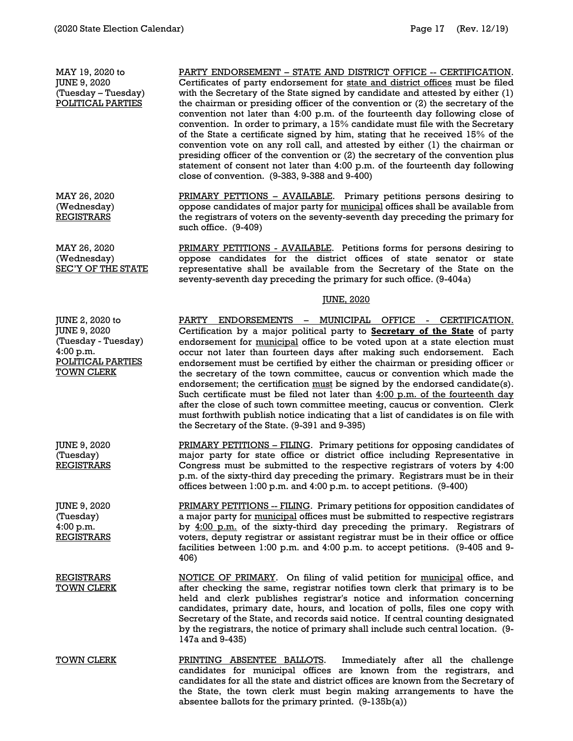MAY 19, 2020 to JUNE 9, 2020 (Tuesday – Tuesday) POLITICAL PARTIES PARTY ENDORSEMENT – STATE AND DISTRICT OFFICE -- CERTIFICATION. Certificates of party endorsement for state and district offices must be filed with the Secretary of the State signed by candidate and attested by either (1) the chairman or presiding officer of the convention or (2) the secretary of the convention not later than 4:00 p.m. of the fourteenth day following close of convention. In order to primary, a 15% candidate must file with the Secretary of the State a certificate signed by him, stating that he received 15% of the convention vote on any roll call, and attested by either (1) the chairman or presiding officer of the convention or (2) the secretary of the convention plus statement of consent not later than 4:00 p.m. of the fourteenth day following close of convention. (9-383, 9-388 and 9-400) MAY 26, 2020 (Wednesday) **REGISTRARS** PRIMARY PETTIONS – AVAILABLE. Primary petitions persons desiring to oppose candidates of major party for municipal offices shall be available from the registrars of voters on the seventy-seventh day preceding the primary for such office. (9-409) MAY 26, 2020 (Wednesday) SEC'Y OF THE STATE PRIMARY PETITIONS - AVAILABLE. Petitions forms for persons desiring to oppose candidates for the district offices of state senator or state representative shall be available from the Secretary of the State on the seventy-seventh day preceding the primary for such office. (9-404a) JUNE, 2020 JUNE 2, 2020 to JUNE 9, 2020 (Tuesday - Tuesday) 4:00 p.m. POLITICAL PARTIES TOWN CLERK PARTY ENDORSEMENTS – MUNICIPAL OFFICE - CERTIFICATION. Certification by a major political party to **Secretary of the State** of party endorsement for municipal office to be voted upon at a state election must occur not later than fourteen days after making such endorsement. Each endorsement must be certified by either the chairman or presiding officer or the secretary of the town committee, caucus or convention which made the endorsement; the certification must be signed by the endorsed candidate(s). Such certificate must be filed not later than  $4:00$  p.m. of the fourteenth day after the close of such town committee meeting, caucus or convention. Clerk must forthwith publish notice indicating that a list of candidates is on file with the Secretary of the State. (9-391 and 9-395) JUNE 9, 2020 (Tuesday) REGISTRARS PRIMARY PETITIONS - FILING. Primary petitions for opposing candidates of major party for state office or district office including Representative in Congress must be submitted to the respective registrars of voters by 4:00 p.m. of the sixty-third day preceding the primary. Registrars must be in their offices between 1:00 p.m. and 4:00 p.m. to accept petitions. (9-400) JUNE 9, 2020 (Tuesday) 4:00 p.m. **REGISTRARS** PRIMARY PETITIONS -- FILING. Primary petitions for opposition candidates of a major party for municipal offices must be submitted to respective registrars by 4:00 p.m. of the sixty-third day preceding the primary. Registrars of voters, deputy registrar or assistant registrar must be in their office or office facilities between 1:00 p.m. and 4:00 p.m. to accept petitions. (9-405 and 9- 406) REGISTRARS TOWN CLERK NOTICE OF PRIMARY. On filing of valid petition for municipal office, and after checking the same, registrar notifies town clerk that primary is to be held and clerk publishes registrar's notice and information concerning candidates, primary date, hours, and location of polls, files one copy with Secretary of the State, and records said notice. If central counting designated by the registrars, the notice of primary shall include such central location. (9- 147a and 9-435) TOWN CLERK **PRINTING ABSENTEE BALLOTS**. Immediately after all the challenge candidates for municipal offices are known from the registrars, and candidates for all the state and district offices are known from the Secretary of the State, the town clerk must begin making arrangements to have the

absentee ballots for the primary printed. (9-135b(a))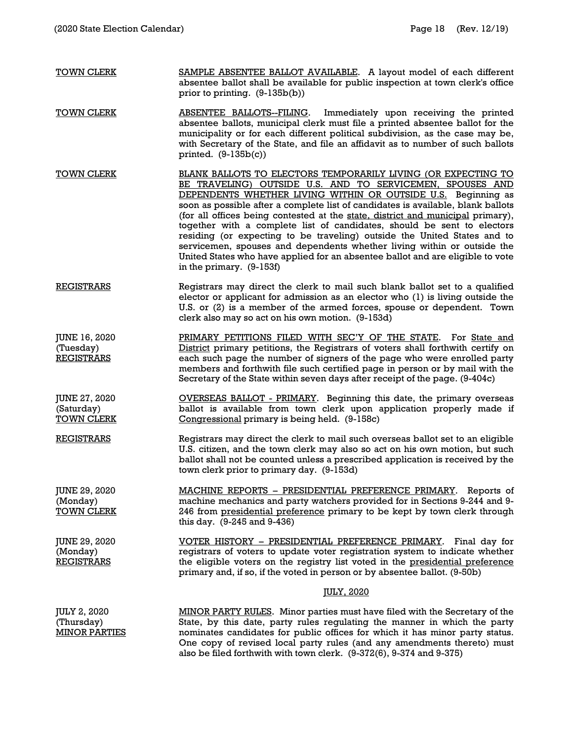| <b>TOWN CLERK</b>                                     | SAMPLE ABSENTEE BALLOT AVAILABLE. A layout model of each different<br>absentee ballot shall be available for public inspection at town clerk's office<br>prior to printing. $(9-135b(b))$                                                                                                                                                                                                                                                                                                                                                                                                                                                                                                                                 |
|-------------------------------------------------------|---------------------------------------------------------------------------------------------------------------------------------------------------------------------------------------------------------------------------------------------------------------------------------------------------------------------------------------------------------------------------------------------------------------------------------------------------------------------------------------------------------------------------------------------------------------------------------------------------------------------------------------------------------------------------------------------------------------------------|
| <b>TOWN CLERK</b>                                     | ABSENTEE BALLOTS--FILING.<br>Immediately upon receiving the printed<br>absentee ballots, municipal clerk must file a printed absentee ballot for the<br>municipality or for each different political subdivision, as the case may be,<br>with Secretary of the State, and file an affidavit as to number of such ballots<br>printed. $(9-135b(c))$                                                                                                                                                                                                                                                                                                                                                                        |
| <u>TOWN CLERK</u>                                     | BLANK BALLOTS TO ELECTORS TEMPORARILY LIVING (OR EXPECTING TO<br>BE TRAVELING) OUTSIDE U.S. AND TO SERVICEMEN, SPOUSES AND<br><b>DEPENDENTS WHETHER LIVING WITHIN OR OUTSIDE U.S.</b> Beginning as<br>soon as possible after a complete list of candidates is available, blank ballots<br>(for all offices being contested at the state, district and municipal primary),<br>together with a complete list of candidates, should be sent to electors<br>residing (or expecting to be traveling) outside the United States and to<br>servicemen, spouses and dependents whether living within or outside the<br>United States who have applied for an absentee ballot and are eligible to vote<br>in the primary. (9-153f) |
| <b>REGISTRARS</b>                                     | Registrars may direct the clerk to mail such blank ballot set to a qualified<br>elector or applicant for admission as an elector who (1) is living outside the<br>U.S. or (2) is a member of the armed forces, spouse or dependent. Town<br>clerk also may so act on his own motion. (9-153d)                                                                                                                                                                                                                                                                                                                                                                                                                             |
| JUNE 16, 2020<br>(Tuesday)<br><b>REGISTRARS</b>       | PRIMARY PETITIONS FILED WITH SEC'Y OF THE STATE. For State and<br>District primary petitions, the Registrars of voters shall forthwith certify on<br>each such page the number of signers of the page who were enrolled party<br>members and forthwith file such certified page in person or by mail with the<br>Secretary of the State within seven days after receipt of the page. (9-404c)                                                                                                                                                                                                                                                                                                                             |
| JUNE 27, 2020<br>(Saturday)<br><b>TOWN CLERK</b>      | <b>OVERSEAS BALLOT - PRIMARY.</b> Beginning this date, the primary overseas<br>ballot is available from town clerk upon application properly made if<br>Congressional primary is being held. (9-158c)                                                                                                                                                                                                                                                                                                                                                                                                                                                                                                                     |
| <b>REGISTRARS</b>                                     | Registrars may direct the clerk to mail such overseas ballot set to an eligible<br>U.S. citizen, and the town clerk may also so act on his own motion, but such<br>ballot shall not be counted unless a prescribed application is received by the<br>town clerk prior to primary day. (9-153d)                                                                                                                                                                                                                                                                                                                                                                                                                            |
| <b>JUNE 29, 2020</b><br>(Monday)<br><b>TOWN CLERK</b> | MACHINE REPORTS - PRESIDENTIAL PREFERENCE PRIMARY. Reports of<br>machine mechanics and party watchers provided for in Sections 9-244 and 9-<br>246 from presidential preference primary to be kept by town clerk through<br>this day. (9-245 and 9-436)                                                                                                                                                                                                                                                                                                                                                                                                                                                                   |
| JUNE 29, 2020<br>(Monday)<br><b>REGISTRARS</b>        | VOTER HISTORY - PRESIDENTIAL PREFERENCE PRIMARY. Final day for<br>registrars of voters to update voter registration system to indicate whether<br>the eligible voters on the registry list voted in the presidential preference<br>primary and, if so, if the voted in person or by absentee ballot. (9-50b)                                                                                                                                                                                                                                                                                                                                                                                                              |
|                                                       | <u>JULY, 2020</u>                                                                                                                                                                                                                                                                                                                                                                                                                                                                                                                                                                                                                                                                                                         |
| JULY 2, 2020<br>(Thursday)<br><b>MINOR PARTIES</b>    | <b>MINOR PARTY RULES.</b> Minor parties must have filed with the Secretary of the<br>State, by this date, party rules regulating the manner in which the party<br>nominates candidates for public offices for which it has minor party status.<br>One copy of revised local party rules (and any amendments thereto) must<br>also be filed forthwith with town clerk. (9-372(6), 9-374 and 9-375)                                                                                                                                                                                                                                                                                                                         |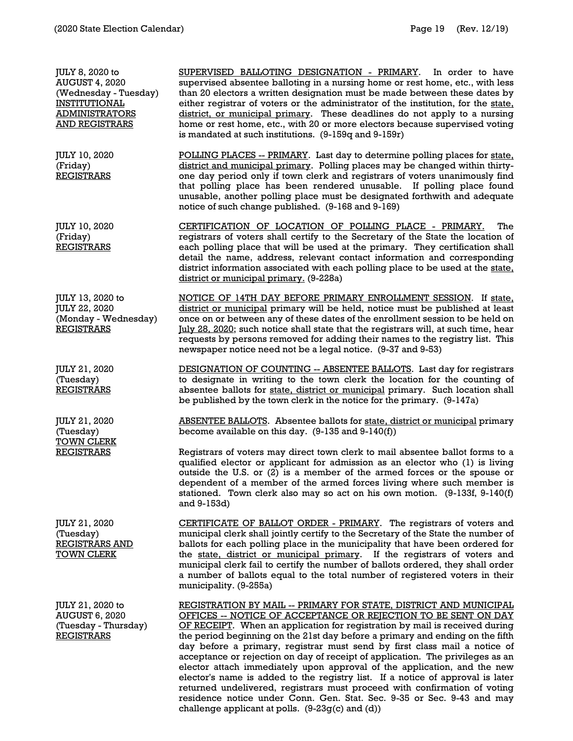JULY 8, 2020 to AUGUST 4, 2020 (Wednesday - Tuesday) INSTITUTIONAL ADMINISTRATORS AND REGISTRARS SUPERVISED BALLOTING DESIGNATION - PRIMARY. In order to have supervised absentee balloting in a nursing home or rest home, etc., with less than 20 electors a written designation must be made between these dates by either registrar of voters or the administrator of the institution, for the state, district, or municipal primary. These deadlines do not apply to a nursing home or rest home, etc., with 20 or more electors because supervised voting is mandated at such institutions. (9-159q and 9-159r) JULY 10, 2020 (Friday) **REGISTRARS** POLLING PLACES -- PRIMARY. Last day to determine polling places for state, district and municipal primary. Polling places may be changed within thirtyone day period only if town clerk and registrars of voters unanimously find that polling place has been rendered unusable. If polling place found unusable, another polling place must be designated forthwith and adequate notice of such change published. (9-168 and 9-169) JULY 10, 2020 (Friday) REGISTRARS CERTIFICATION OF LOCATION OF POLLING PLACE - PRIMARY. The registrars of voters shall certify to the Secretary of the State the location of each polling place that will be used at the primary. They certification shall detail the name, address, relevant contact information and corresponding district information associated with each polling place to be used at the state, district or municipal primary. (9-228a) JULY 13, 2020 to JULY 22, 2020 (Monday - Wednesday) REGISTRARS NOTICE OF 14TH DAY BEFORE PRIMARY ENROLLMENT SESSION. If state, district or municipal primary will be held, notice must be published at least once on or between any of these dates of the enrollment session to be held on July 28, 2020; such notice shall state that the registrars will, at such time, hear requests by persons removed for adding their names to the registry list. This newspaper notice need not be a legal notice. (9-37 and 9-53) JULY 21, 2020 (Tuesday) REGISTRARS DESIGNATION OF COUNTING -- ABSENTEE BALLOTS. Last day for registrars to designate in writing to the town clerk the location for the counting of absentee ballots for state, district or municipal primary. Such location shall be published by the town clerk in the notice for the primary. (9-147a) JULY 21, 2020 (Tuesday) TOWN CLERK REGISTRARS ABSENTEE BALLOTS. Absentee ballots for state, district or municipal primary become available on this day. (9-135 and 9-140(f)) Registrars of voters may direct town clerk to mail absentee ballot forms to a qualified elector or applicant for admission as an elector who (1) is living outside the U.S. or (2) is a member of the armed forces or the spouse or dependent of a member of the armed forces living where such member is stationed. Town clerk also may so act on his own motion. (9-133f, 9-140(f) and 9-153d) JULY 21, 2020 (Tuesday) REGISTRARS AND TOWN CLERK CERTIFICATE OF BALLOT ORDER - PRIMARY. The registrars of voters and municipal clerk shall jointly certify to the Secretary of the State the number of ballots for each polling place in the municipality that have been ordered for the state, district or municipal primary. If the registrars of voters and municipal clerk fail to certify the number of ballots ordered, they shall order a number of ballots equal to the total number of registered voters in their municipality. (9-255a) JULY 21, 2020 to AUGUST 6, 2020 (Tuesday - Thursday) REGISTRARS REGISTRATION BY MAIL -- PRIMARY FOR STATE, DISTRICT AND MUNICIPAL OFFICES -- NOTICE OF ACCEPTANCE OR REJECTION TO BE SENT ON DAY OF RECEIPT. When an application for registration by mail is received during the period beginning on the 21st day before a primary and ending on the fifth day before a primary, registrar must send by first class mail a notice of acceptance or rejection on day of receipt of application. The privileges as an elector attach immediately upon approval of the application, and the new

> elector's name is added to the registry list. If a notice of approval is later returned undelivered, registrars must proceed with confirmation of voting residence notice under Conn. Gen. Stat. Sec. 9-35 or Sec. 9-43 and may

challenge applicant at polls. (9-23g(c) and (d))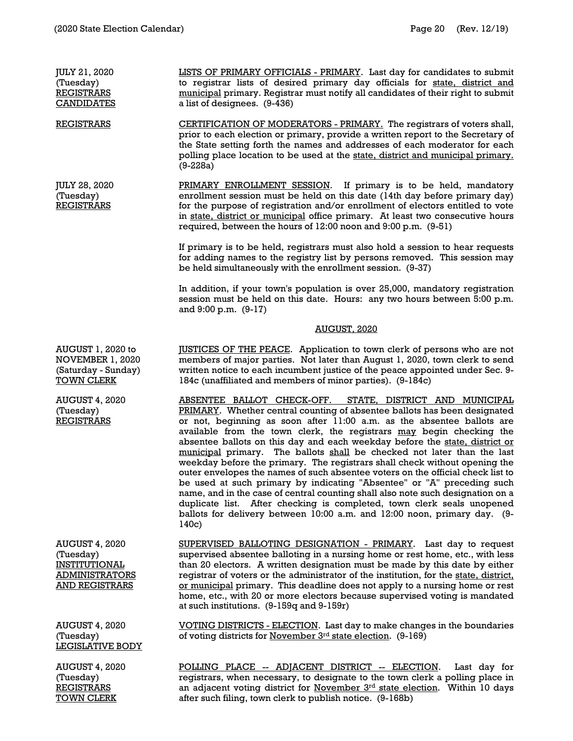TOWN CLERK

| JULY 21, 2020<br>(Tuesday)<br><b>REGISTRARS</b><br><b>CANDIDATES</b>                                         | LISTS OF PRIMARY OFFICIALS - PRIMARY. Last day for candidates to submit<br>to registrar lists of desired primary day officials for state, district and<br>municipal primary. Registrar must notify all candidates of their right to submit<br>a list of designees. (9-436)                                                                                                                                                                                                                                                                                                                                                                                                                                                                                                                                                                                                                                                                     |
|--------------------------------------------------------------------------------------------------------------|------------------------------------------------------------------------------------------------------------------------------------------------------------------------------------------------------------------------------------------------------------------------------------------------------------------------------------------------------------------------------------------------------------------------------------------------------------------------------------------------------------------------------------------------------------------------------------------------------------------------------------------------------------------------------------------------------------------------------------------------------------------------------------------------------------------------------------------------------------------------------------------------------------------------------------------------|
| <b>REGISTRARS</b>                                                                                            | <b>CERTIFICATION OF MODERATORS - PRIMARY.</b> The registrars of voters shall,<br>prior to each election or primary, provide a written report to the Secretary of<br>the State setting forth the names and addresses of each moderator for each<br>polling place location to be used at the state, district and municipal primary.<br>$(9-228a)$                                                                                                                                                                                                                                                                                                                                                                                                                                                                                                                                                                                                |
| JULY 28, 2020<br>(Tuesday)<br><b>REGISTRARS</b>                                                              | PRIMARY ENROLLMENT SESSION. If primary is to be held, mandatory<br>enrollment session must be held on this date (14th day before primary day)<br>for the purpose of registration and/or enrollment of electors entitled to vote<br>in state, district or municipal office primary. At least two consecutive hours<br>required, between the hours of 12:00 noon and 9:00 p.m. (9-51)                                                                                                                                                                                                                                                                                                                                                                                                                                                                                                                                                            |
|                                                                                                              | If primary is to be held, registrars must also hold a session to hear requests<br>for adding names to the registry list by persons removed. This session may<br>be held simultaneously with the enrollment session. (9-37)                                                                                                                                                                                                                                                                                                                                                                                                                                                                                                                                                                                                                                                                                                                     |
|                                                                                                              | In addition, if your town's population is over 25,000, mandatory registration<br>session must be held on this date. Hours: any two hours between 5:00 p.m.<br>and 9:00 p.m. (9-17)                                                                                                                                                                                                                                                                                                                                                                                                                                                                                                                                                                                                                                                                                                                                                             |
|                                                                                                              | AUGUST, 2020                                                                                                                                                                                                                                                                                                                                                                                                                                                                                                                                                                                                                                                                                                                                                                                                                                                                                                                                   |
| AUGUST 1, 2020 to<br>NOVEMBER 1, 2020<br>(Saturday - Sunday)<br><u>TOWN CLERK</u>                            | <b>JUSTICES OF THE PEACE.</b> Application to town clerk of persons who are not<br>members of major parties. Not later than August 1, 2020, town clerk to send<br>written notice to each incumbent justice of the peace appointed under Sec. 9-<br>184c (unaffiliated and members of minor parties). (9-184c)                                                                                                                                                                                                                                                                                                                                                                                                                                                                                                                                                                                                                                   |
| <b>AUGUST 4, 2020</b><br>(Tuesday)<br><b>REGISTRARS</b>                                                      | ABSENTEE BALLOT CHECK-OFF. STATE, DISTRICT AND MUNICIPAL<br>PRIMARY. Whether central counting of absentee ballots has been designated<br>or not, beginning as soon after 11:00 a.m. as the absentee ballots are<br>available from the town clerk, the registrars may begin checking the<br>absentee ballots on this day and each weekday before the state, district or<br>municipal primary. The ballots shall be checked not later than the last<br>weekday before the primary. The registrars shall check without opening the<br>outer envelopes the names of such absentee voters on the official check list to<br>be used at such primary by indicating "Absentee" or "A" preceding such<br>name, and in the case of central counting shall also note such designation on a<br>duplicate list. After checking is completed, town clerk seals unopened<br>ballots for delivery between 10:00 a.m. and 12:00 noon, primary day. (9-<br>140c) |
| <b>AUGUST 4, 2020</b><br>(Tuesday)<br><b>INSTITUTIONAL</b><br><b>ADMINISTRATORS</b><br><b>AND REGISTRARS</b> | SUPERVISED BALLOTING DESIGNATION - PRIMARY. Last day to request<br>supervised absentee balloting in a nursing home or rest home, etc., with less<br>than 20 electors. A written designation must be made by this date by either<br>registrar of voters or the administrator of the institution, for the state, district,<br>or municipal primary. This deadline does not apply to a nursing home or rest<br>home, etc., with 20 or more electors because supervised voting is mandated<br>at such institutions. (9-159q and 9-159r)                                                                                                                                                                                                                                                                                                                                                                                                            |
| <b>AUGUST 4, 2020</b><br>(Tuesday)<br>LEGISLATIVE BODY                                                       | VOTING DISTRICTS - ELECTION. Last day to make changes in the boundaries<br>of voting districts for November 3rd state election. (9-169)                                                                                                                                                                                                                                                                                                                                                                                                                                                                                                                                                                                                                                                                                                                                                                                                        |
| <b>AUGUST 4, 2020</b><br>(Tuesday)<br><b>REGISTRARS</b>                                                      | POLLING PLACE -- ADJACENT DISTRICT -- ELECTION.<br>Last day for<br>registrars, when necessary, to designate to the town clerk a polling place in<br>an adjacent voting district for November 3rd state election. Within 10 days                                                                                                                                                                                                                                                                                                                                                                                                                                                                                                                                                                                                                                                                                                                |

after such filing, town clerk to publish notice. (9-168b)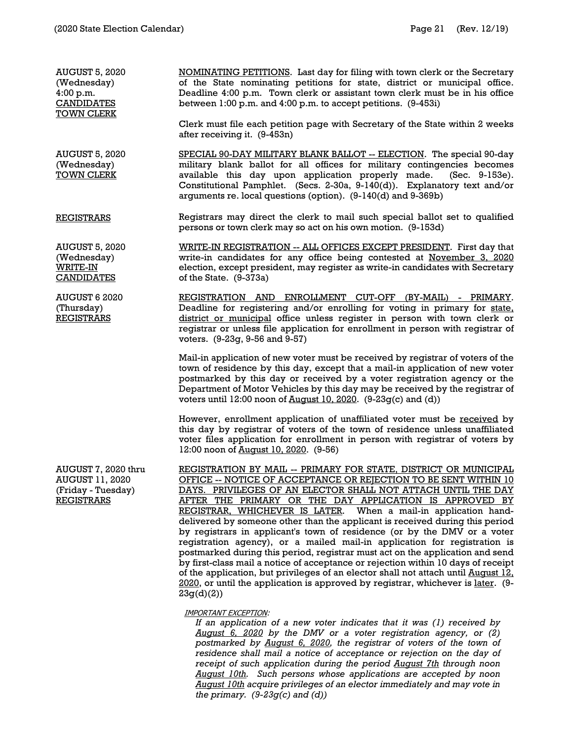AUGUST 5, 2020 (Wednesday) 4:00 p.m. CANDIDATES TOWN CLERK of the State nominating petitions for state, district or municipal office. Deadline 4:00 p.m. Town clerk or assistant town clerk must be in his office between 1:00 p.m. and 4:00 p.m. to accept petitions. (9-453i) Clerk must file each petition page with Secretary of the State within 2 weeks after receiving it. (9-453n) AUGUST 5, 2020 (Wednesday) TOWN CLERK REGISTRARS SPECIAL 90-DAY MILITARY BLANK BALLOT -- ELECTION. The special 90-day arguments re. local questions (option). (9-140(d) and 9-369b) persons or town clerk may so act on his own motion. (9-153d) AUGUST 5, 2020 (Wednesday) WRITE-IN **CANDIDATES** WRITE-IN REGISTRATION -- ALL OFFICES EXCEPT PRESIDENT. First day that of the State.  $(9-373a)$ AUGUST 6 2020 (Thursday) REGISTRATION AND ENROLLMENT CUT-OFF (BY-MAIL) - PRIMARY.

REGISTRARS

AUGUST 7, 2020 thru AUGUST 11, 2020 (Friday - Tuesday) REGISTRARS

NOMINATING PETITIONS. Last day for filing with town clerk or the Secretary

military blank ballot for all offices for military contingencies becomes available this day upon application properly made. (Sec. 9-153e). Constitutional Pamphlet. (Secs. 2-30a, 9-140(d)). Explanatory text and/or

Registrars may direct the clerk to mail such special ballot set to qualified

write-in candidates for any office being contested at November 3, 2020 election, except president, may register as write-in candidates with Secretary

Deadline for registering and/or enrolling for voting in primary for state, district or municipal office unless register in person with town clerk or registrar or unless file application for enrollment in person with registrar of voters. (9-23g, 9-56 and 9-57)

Mail-in application of new voter must be received by registrar of voters of the town of residence by this day, except that a mail-in application of new voter postmarked by this day or received by a voter registration agency or the Department of Motor Vehicles by this day may be received by the registrar of voters until 12:00 noon of  $\frac{\text{August 10, 2020}}{\text{10, 2020}}$ . (9-23g(c) and (d))

However, enrollment application of unaffiliated voter must be received by this day by registrar of voters of the town of residence unless unaffiliated voter files application for enrollment in person with registrar of voters by 12:00 noon of August 10, 2020. (9-56)

REGISTRATION BY MAIL -- PRIMARY FOR STATE, DISTRICT OR MUNICIPAL OFFICE -- NOTICE OF ACCEPTANCE OR REJECTION TO BE SENT WITHIN 10 DAYS. PRIVILEGES OF AN ELECTOR SHALL NOT ATTACH UNTIL THE DAY AFTER THE PRIMARY OR THE DAY APPLICATION IS APPROVED BY REGISTRAR, WHICHEVER IS LATER. When a mail-in application handdelivered by someone other than the applicant is received during this period by registrars in applicant's town of residence (or by the DMV or a voter registration agency), or a mailed mail-in application for registration is postmarked during this period, registrar must act on the application and send by first-class mail a notice of acceptance or rejection within 10 days of receipt of the application, but privileges of an elector shall not attach until August 12, 2020, or until the application is approved by registrar, whichever is later. (9-23g(d)(2))

### IMPORTANT EXCEPTION:

*If an application of a new voter indicates that it was (1) received by August 6, 2020 by the DMV or a voter registration agency, or (2) postmarked by August 6, 2020, the registrar of voters of the town of residence shall mail a notice of acceptance or rejection on the day of receipt of such application during the period August 7th through noon August 10th. Such persons whose applications are accepted by noon August 10th acquire privileges of an elector immediately and may vote in the primary. (9-23g(c) and (d))*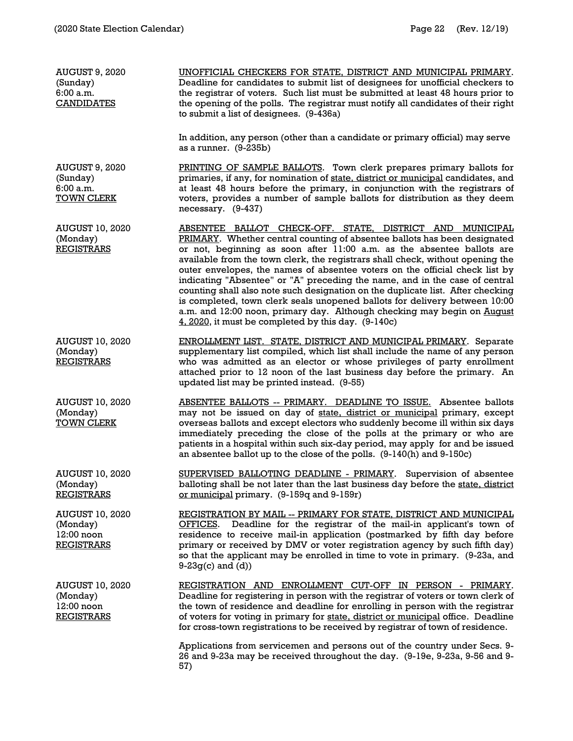| <b>AUGUST 9, 2020</b><br>(Sunday)<br>6:00a.m.<br><b>CANDIDATES</b>    | UNOFFICIAL CHECKERS FOR STATE, DISTRICT AND MUNICIPAL PRIMARY.<br>Deadline for candidates to submit list of designees for unofficial checkers to<br>the registrar of voters. Such list must be submitted at least 48 hours prior to<br>the opening of the polls. The registrar must notify all candidates of their right<br>to submit a list of designees. (9-436a)                                                                                                                                                                                                                                                                                                                                                                                                     |
|-----------------------------------------------------------------------|-------------------------------------------------------------------------------------------------------------------------------------------------------------------------------------------------------------------------------------------------------------------------------------------------------------------------------------------------------------------------------------------------------------------------------------------------------------------------------------------------------------------------------------------------------------------------------------------------------------------------------------------------------------------------------------------------------------------------------------------------------------------------|
|                                                                       | In addition, any person (other than a candidate or primary official) may serve<br>as a runner. (9-235b)                                                                                                                                                                                                                                                                                                                                                                                                                                                                                                                                                                                                                                                                 |
| <b>AUGUST 9, 2020</b><br>(Sunday)<br>6:00 a.m.<br><b>TOWN CLERK</b>   | PRINTING OF SAMPLE BALLOTS. Town clerk prepares primary ballots for<br>primaries, if any, for nomination of state, district or municipal candidates, and<br>at least 48 hours before the primary, in conjunction with the registrars of<br>voters, provides a number of sample ballots for distribution as they deem<br>necessary. (9-437)                                                                                                                                                                                                                                                                                                                                                                                                                              |
| <b>AUGUST 10, 2020</b><br>(Monday)<br><b>REGISTRARS</b>               | ABSENTEE BALLOT CHECK-OFF. STATE, DISTRICT AND MUNICIPAL<br>PRIMARY. Whether central counting of absentee ballots has been designated<br>or not, beginning as soon after 11:00 a.m. as the absentee ballots are<br>available from the town clerk, the registrars shall check, without opening the<br>outer envelopes, the names of absentee voters on the official check list by<br>indicating "Absentee" or "A" preceding the name, and in the case of central<br>counting shall also note such designation on the duplicate list. After checking<br>is completed, town clerk seals unopened ballots for delivery between 10:00<br>a.m. and 12:00 noon, primary day. Although checking may begin on August<br>$4, 2020$ , it must be completed by this day. $(9-140c)$ |
| <b>AUGUST 10, 2020</b><br>(Monday)<br><b>REGISTRARS</b>               | <b>ENROLLMENT LIST. STATE, DISTRICT AND MUNICIPAL PRIMARY. Separate</b><br>supplementary list compiled, which list shall include the name of any person<br>who was admitted as an elector or whose privileges of party enrollment<br>attached prior to 12 noon of the last business day before the primary. An<br>updated list may be printed instead. (9-55)                                                                                                                                                                                                                                                                                                                                                                                                           |
| <b>AUGUST 10, 2020</b><br>(Monday)<br><b>TOWN CLERK</b>               | <b>ABSENTEE BALLOTS -- PRIMARY. DEADLINE TO ISSUE. Absentee ballots</b><br>may not be issued on day of state, district or municipal primary, except<br>overseas ballots and except electors who suddenly become ill within six days<br>immediately preceding the close of the polls at the primary or who are<br>patients in a hospital within such six-day period, may apply for and be issued<br>an absentee ballot up to the close of the polls. (9-140(h) and 9-150c)                                                                                                                                                                                                                                                                                               |
| <b>AUGUST 10, 2020</b><br>(Monday)<br><b>REGISTRARS</b>               | SUPERVISED BALLOTING DEADLINE - PRIMARY. Supervision of absentee<br>balloting shall be not later than the last business day before the state, district<br>or municipal primary. (9-159q and 9-159r)                                                                                                                                                                                                                                                                                                                                                                                                                                                                                                                                                                     |
| <b>AUGUST 10, 2020</b><br>(Monday)<br>12:00 noon<br><b>REGISTRARS</b> | REGISTRATION BY MAIL -- PRIMARY FOR STATE, DISTRICT AND MUNICIPAL<br>Deadline for the registrar of the mail-in applicant's town of<br>OFFICES.<br>residence to receive mail-in application (postmarked by fifth day before<br>primary or received by DMV or voter registration agency by such fifth day)<br>so that the applicant may be enrolled in time to vote in primary. (9-23a, and<br>$9-23q(c)$ and $(d)$ )                                                                                                                                                                                                                                                                                                                                                     |
| <b>AUGUST 10, 2020</b><br>(Monday)<br>12:00 noon<br><b>REGISTRARS</b> | REGISTRATION AND ENROLLMENT CUT-OFF IN PERSON - PRIMARY.<br>Deadline for registering in person with the registrar of voters or town clerk of<br>the town of residence and deadline for enrolling in person with the registrar<br>of voters for voting in primary for state, district or municipal office. Deadline<br>for cross-town registrations to be received by registrar of town of residence.                                                                                                                                                                                                                                                                                                                                                                    |
|                                                                       | Applications from servicemen and persons out of the country under Secs. 9-<br>26 and 9-23a may be received throughout the day. (9-19e, 9-23a, 9-56 and 9-<br>57)                                                                                                                                                                                                                                                                                                                                                                                                                                                                                                                                                                                                        |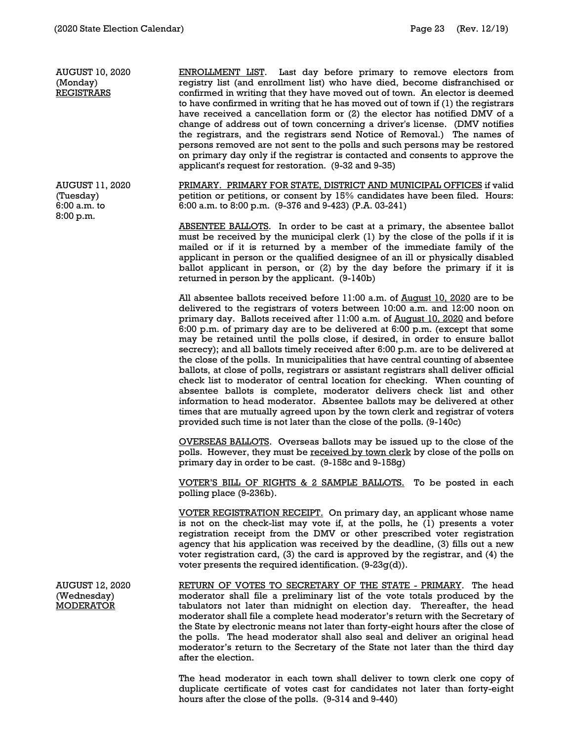AUGUST 10, 2020 (Monday) REGISTRARS

ENROLLMENT LIST. Last day before primary to remove electors from registry list (and enrollment list) who have died, become disfranchised or confirmed in writing that they have moved out of town. An elector is deemed to have confirmed in writing that he has moved out of town if (1) the registrars have received a cancellation form or (2) the elector has notified DMV of a change of address out of town concerning a driver's license. (DMV notifies the registrars, and the registrars send Notice of Removal.) The names of persons removed are not sent to the polls and such persons may be restored on primary day only if the registrar is contacted and consents to approve the applicant's request for restoration. (9-32 and 9-35)

PRIMARY. PRIMARY FOR STATE, DISTRICT AND MUNICIPAL OFFICES if valid petition or petitions, or consent by 15% candidates have been filed. Hours: 6:00 a.m. to 8:00 p.m. (9-376 and 9-423) (P.A. 03-241)

ABSENTEE BALLOTS. In order to be cast at a primary, the absentee ballot must be received by the municipal clerk (1) by the close of the polls if it is mailed or if it is returned by a member of the immediate family of the applicant in person or the qualified designee of an ill or physically disabled ballot applicant in person, or (2) by the day before the primary if it is returned in person by the applicant. (9-140b)

All absentee ballots received before 11:00 a.m. of August 10, 2020 are to be delivered to the registrars of voters between 10:00 a.m. and 12:00 noon on primary day. Ballots received after 11:00 a.m. of August 10, 2020 and before 6:00 p.m. of primary day are to be delivered at 6:00 p.m. (except that some may be retained until the polls close, if desired, in order to ensure ballot secrecy); and all ballots timely received after 6:00 p.m. are to be delivered at the close of the polls. In municipalities that have central counting of absentee ballots, at close of polls, registrars or assistant registrars shall deliver official check list to moderator of central location for checking. When counting of absentee ballots is complete, moderator delivers check list and other information to head moderator. Absentee ballots may be delivered at other times that are mutually agreed upon by the town clerk and registrar of voters provided such time is not later than the close of the polls. (9-140c)

OVERSEAS BALLOTS. Overseas ballots may be issued up to the close of the polls. However, they must be received by town clerk by close of the polls on primary day in order to be cast. (9-158c and 9-158g)

VOTER'S BILL OF RIGHTS & 2 SAMPLE BALLOTS. To be posted in each polling place (9-236b).

VOTER REGISTRATION RECEIPT. On primary day, an applicant whose name is not on the check-list may vote if, at the polls, he (1) presents a voter registration receipt from the DMV or other prescribed voter registration agency that his application was received by the deadline, (3) fills out a new voter registration card, (3) the card is approved by the registrar, and (4) the voter presents the required identification. (9-23g(d)).

AUGUST 12, 2020 (Wednesday) MODERATOR RETURN OF VOTES TO SECRETARY OF THE STATE - PRIMARY. The head moderator shall file a preliminary list of the vote totals produced by the tabulators not later than midnight on election day. Thereafter, the head moderator shall file a complete head moderator's return with the Secretary of the State by electronic means not later than forty-eight hours after the close of the polls. The head moderator shall also seal and deliver an original head moderator's return to the Secretary of the State not later than the third day after the election.

> The head moderator in each town shall deliver to town clerk one copy of duplicate certificate of votes cast for candidates not later than forty-eight hours after the close of the polls. (9-314 and 9-440)

6:00 a.m. to 8:00 p.m.

AUGUST 11, 2020

(Tuesday)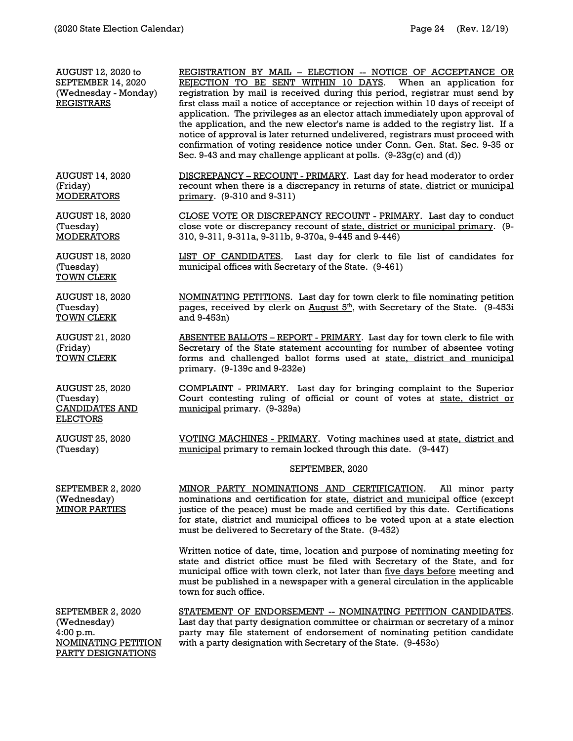PARTY DESIGNATIONS

AUGUST 12, 2020 to SEPTEMBER 14, 2020 (Wednesday - Monday) **REGISTRARS** REGISTRATION BY MAIL – ELECTION -- NOTICE OF ACCEPTANCE OR REJECTION TO BE SENT WITHIN 10 DAYS. When an application for REJECTION TO BE SENT WITHIN 10 DAYS. registration by mail is received during this period, registrar must send by first class mail a notice of acceptance or rejection within 10 days of receipt of application. The privileges as an elector attach immediately upon approval of the application, and the new elector's name is added to the registry list. If a notice of approval is later returned undelivered, registrars must proceed with confirmation of voting residence notice under Conn. Gen. Stat. Sec. 9-35 or Sec. 9-43 and may challenge applicant at polls.  $(9-23q(c)$  and  $(d))$ AUGUST 14, 2020 (Friday) **MODERATORS** DISCREPANCY – RECOUNT - PRIMARY. Last day for head moderator to order recount when there is a discrepancy in returns of state. district or municipal primary. (9-310 and 9-311) AUGUST 18, 2020 (Tuesday) **MODERATORS** CLOSE VOTE OR DISCREPANCY RECOUNT - PRIMARY. Last day to conduct close vote or discrepancy recount of state, district or municipal primary. (9- 310, 9-311, 9-311a, 9-311b, 9-370a, 9-445 and 9-446) AUGUST 18, 2020 (Tuesday) TOWN CLERK LIST OF CANDIDATES. Last day for clerk to file list of candidates for municipal offices with Secretary of the State. (9-461) AUGUST 18, 2020 (Tuesday) TOWN CLERK NOMINATING PETITIONS. Last day for town clerk to file nominating petition pages, received by clerk on August 5<sup>th</sup>, with Secretary of the State. (9-453i and 9-453n) AUGUST 21, 2020 (Friday) TOWN CLERK ABSENTEE BALLOTS – REPORT - PRIMARY. Last day for town clerk to file with Secretary of the State statement accounting for number of absentee voting forms and challenged ballot forms used at state, district and municipal primary. (9-139c and 9-232e) AUGUST 25, 2020 (Tuesday) CANDIDATES AND ELECTORS COMPLAINT - PRIMARY. Last day for bringing complaint to the Superior Court contesting ruling of official or count of votes at state, district or municipal primary. (9-329a) AUGUST 25, 2020 (Tuesday) VOTING MACHINES - PRIMARY. Voting machines used at state, district and municipal primary to remain locked through this date. (9-447) SEPTEMBER, 2020 SEPTEMBER 2, 2020 (Wednesday) MINOR PARTIES MINOR PARTY NOMINATIONS AND CERTIFICATION. All minor party nominations and certification for state, district and municipal office (except justice of the peace) must be made and certified by this date. Certifications for state, district and municipal offices to be voted upon at a state election must be delivered to Secretary of the State. (9-452) Written notice of date, time, location and purpose of nominating meeting for state and district office must be filed with Secretary of the State, and for municipal office with town clerk, not later than five days before meeting and must be published in a newspaper with a general circulation in the applicable town for such office. SEPTEMBER 2, 2020 (Wednesday) 4:00 p.m. NOMINATING PETITION STATEMENT OF ENDORSEMENT -- NOMINATING PETITION CANDIDATES. Last day that party designation committee or chairman or secretary of a minor party may file statement of endorsement of nominating petition candidate with a party designation with Secretary of the State. (9-453o)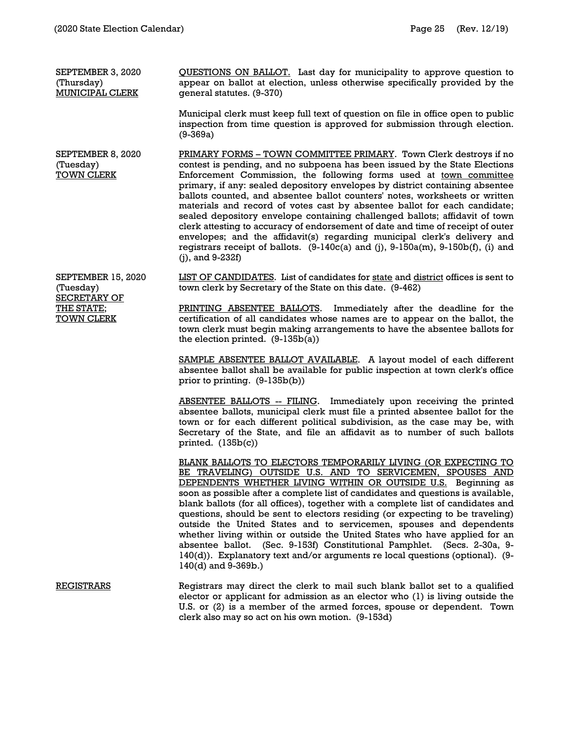SEPTEMBER 3, 2020 (Thursday) MUNICIPAL CLERK

QUESTIONS ON BALLOT. Last day for municipality to approve question to appear on ballot at election, unless otherwise specifically provided by the general statutes. (9-370)

Municipal clerk must keep full text of question on file in office open to public inspection from time question is approved for submission through election. (9-369a)

SEPTEMBER 8, 2020 (Tuesday) TOWN CLERK PRIMARY FORMS – TOWN COMMITTEE PRIMARY. Town Clerk destroys if no contest is pending, and no subpoena has been issued by the State Elections Enforcement Commission, the following forms used at town committee primary, if any: sealed depository envelopes by district containing absentee ballots counted, and absentee ballot counters' notes, worksheets or written materials and record of votes cast by absentee ballot for each candidate; sealed depository envelope containing challenged ballots; affidavit of town clerk attesting to accuracy of endorsement of date and time of receipt of outer envelopes; and the affidavit(s) regarding municipal clerk's delivery and registrars receipt of ballots. (9-140c(a) and (j), 9-150a(m), 9-150b(f), (i) and (j), and 9-232f)

SEPTEMBER 15, 2020 (Tuesday) SECRETARY OF THE STATE; TOWN CLERK

LIST OF CANDIDATES. List of candidates for state and district offices is sent to town clerk by Secretary of the State on this date. (9-462)

PRINTING ABSENTEE BALLOTS. Immediately after the deadline for the certification of all candidates whose names are to appear on the ballot, the town clerk must begin making arrangements to have the absentee ballots for the election printed. (9-135b(a))

SAMPLE ABSENTEE BALLOT AVAILABLE. A layout model of each different absentee ballot shall be available for public inspection at town clerk's office prior to printing. (9-135b(b))

ABSENTEE BALLOTS -- FILING. Immediately upon receiving the printed absentee ballots, municipal clerk must file a printed absentee ballot for the town or for each different political subdivision, as the case may be, with Secretary of the State, and file an affidavit as to number of such ballots printed.  $(135b(c))$ 

BLANK BALLOTS TO ELECTORS TEMPORARILY LIVING (OR EXPECTING TO BE TRAVELING) OUTSIDE U.S. AND TO SERVICEMEN, SPOUSES AND DEPENDENTS WHETHER LIVING WITHIN OR OUTSIDE U.S. Beginning as soon as possible after a complete list of candidates and questions is available, blank ballots (for all offices), together with a complete list of candidates and questions, should be sent to electors residing (or expecting to be traveling) outside the United States and to servicemen, spouses and dependents whether living within or outside the United States who have applied for an absentee ballot. (Sec. 9-153f) Constitutional Pamphlet. (Secs. 2-30a, 9- 140(d)). Explanatory text and/or arguments re local questions (optional). (9- 140(d) and 9-369b.)

REGISTRARS Registrars may direct the clerk to mail such blank ballot set to a qualified elector or applicant for admission as an elector who (1) is living outside the U.S. or (2) is a member of the armed forces, spouse or dependent. Town clerk also may so act on his own motion. (9-153d)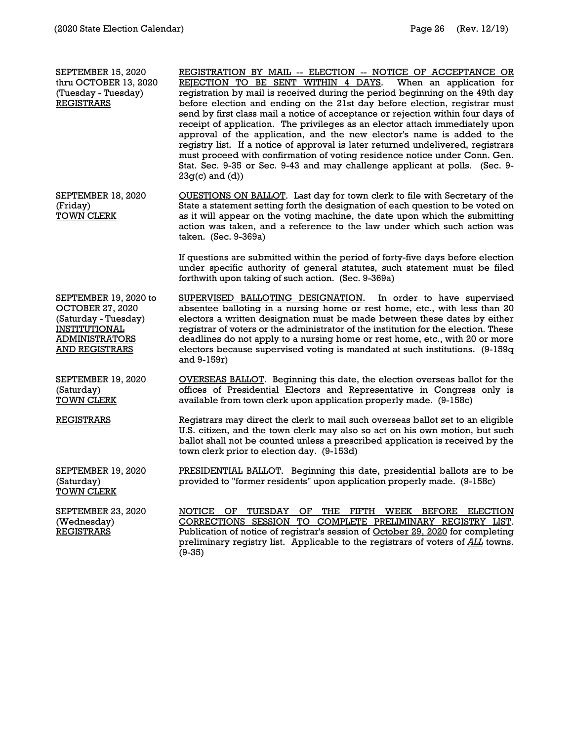| SEPTEMBER 15, 2020<br>thru OCTOBER 13, 2020<br>(Tuesday - Tuesday)<br><b>REGISTRARS</b>                                                            | REGISTRATION BY MAIL -- ELECTION -- NOTICE OF ACCEPTANCE OR<br>REJECTION TO BE SENT WITHIN 4 DAYS.<br>When an application for<br>registration by mail is received during the period beginning on the 49th day<br>before election and ending on the 21st day before election, registrar must<br>send by first class mail a notice of acceptance or rejection within four days of<br>receipt of application. The privileges as an elector attach immediately upon<br>approval of the application, and the new elector's name is added to the<br>registry list. If a notice of approval is later returned undelivered, registrars<br>must proceed with confirmation of voting residence notice under Conn. Gen.<br>Stat. Sec. 9-35 or Sec. 9-43 and may challenge applicant at polls. (Sec. 9-<br>$23g(c)$ and $(d)$ ) |
|----------------------------------------------------------------------------------------------------------------------------------------------------|---------------------------------------------------------------------------------------------------------------------------------------------------------------------------------------------------------------------------------------------------------------------------------------------------------------------------------------------------------------------------------------------------------------------------------------------------------------------------------------------------------------------------------------------------------------------------------------------------------------------------------------------------------------------------------------------------------------------------------------------------------------------------------------------------------------------|
| SEPTEMBER 18, 2020<br>(Friday)<br><b>TOWN CLERK</b>                                                                                                | QUESTIONS ON BALLOT. Last day for town clerk to file with Secretary of the<br>State a statement setting forth the designation of each question to be voted on<br>as it will appear on the voting machine, the date upon which the submitting<br>action was taken, and a reference to the law under which such action was<br>taken. (Sec. 9-369a)                                                                                                                                                                                                                                                                                                                                                                                                                                                                    |
|                                                                                                                                                    | If questions are submitted within the period of forty-five days before election<br>under specific authority of general statutes, such statement must be filed<br>forthwith upon taking of such action. (Sec. 9-369a)                                                                                                                                                                                                                                                                                                                                                                                                                                                                                                                                                                                                |
| SEPTEMBER 19, 2020 to<br><b>OCTOBER 27, 2020</b><br>(Saturday - Tuesday)<br><b>INSTITUTIONAL</b><br><b>ADMINISTRATORS</b><br><b>AND REGISTRARS</b> | SUPERVISED BALLOTING DESIGNATION.<br>In order to have supervised<br>absentee balloting in a nursing home or rest home, etc., with less than 20<br>electors a written designation must be made between these dates by either<br>registrar of voters or the administrator of the institution for the election. These<br>deadlines do not apply to a nursing home or rest home, etc., with 20 or more<br>electors because supervised voting is mandated at such institutions. (9-159q<br>and 9-159r)                                                                                                                                                                                                                                                                                                                   |
| SEPTEMBER 19, 2020<br>(Saturday)<br><b>TOWN CLERK</b>                                                                                              | <b>OVERSEAS BALLOT.</b> Beginning this date, the election overseas ballot for the<br>offices of Presidential Electors and Representative in Congress only is<br>available from town clerk upon application properly made. (9-158c)                                                                                                                                                                                                                                                                                                                                                                                                                                                                                                                                                                                  |
| <b>REGISTRARS</b>                                                                                                                                  | Registrars may direct the clerk to mail such overseas ballot set to an eligible<br>U.S. citizen, and the town clerk may also so act on his own motion, but such<br>ballot shall not be counted unless a prescribed application is received by the<br>town clerk prior to election day. (9-153d)                                                                                                                                                                                                                                                                                                                                                                                                                                                                                                                     |
| SEPTEMBER 19, 2020<br>(Saturday)<br><b>TOWN CLERK</b>                                                                                              | PRESIDENTIAL BALLOT. Beginning this date, presidential ballots are to be<br>provided to "former residents" upon application properly made. (9-158c)                                                                                                                                                                                                                                                                                                                                                                                                                                                                                                                                                                                                                                                                 |
| SEPTEMBER 23, 2020<br>(Wednesday)<br><b>REGISTRARS</b>                                                                                             | NOTICE OF TUESDAY OF THE FIFTH WEEK BEFORE ELECTION<br>CORRECTIONS SESSION TO COMPLETE PRELIMINARY REGISTRY LIST.<br>Publication of notice of registrar's session of October 29, 2020 for completing<br>preliminary registry list. Applicable to the registrars of voters of ALL towns.<br>$(9-35)$                                                                                                                                                                                                                                                                                                                                                                                                                                                                                                                 |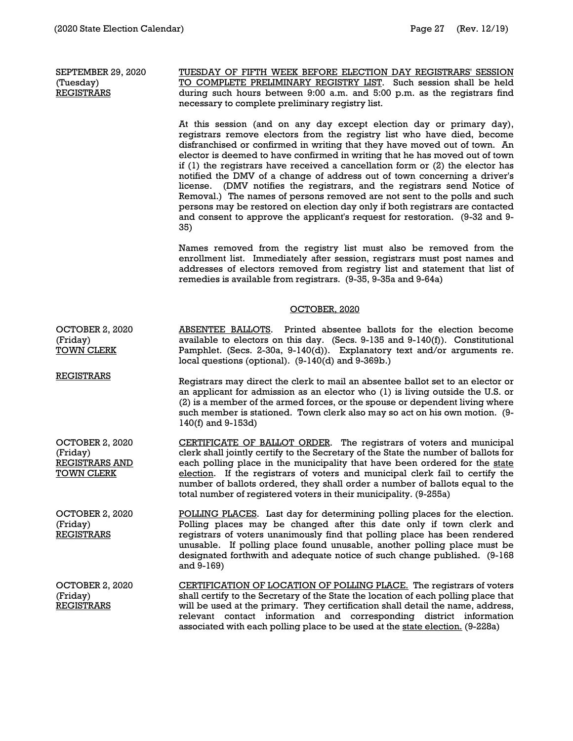SEPTEMBER 29, 2020 (Tuesday) **REGISTRARS** 

TUESDAY OF FIFTH WEEK BEFORE ELECTION DAY REGISTRARS' SESSION TO COMPLETE PRELIMINARY REGISTRY LIST. Such session shall be held during such hours between 9:00 a.m. and 5:00 p.m. as the registrars find necessary to complete preliminary registry list.

At this session (and on any day except election day or primary day), registrars remove electors from the registry list who have died, become disfranchised or confirmed in writing that they have moved out of town. An elector is deemed to have confirmed in writing that he has moved out of town if (1) the registrars have received a cancellation form or (2) the elector has notified the DMV of a change of address out of town concerning a driver's license. (DMV notifies the registrars, and the registrars send Notice of Removal.) The names of persons removed are not sent to the polls and such persons may be restored on election day only if both registrars are contacted and consent to approve the applicant's request for restoration. (9-32 and 9- 35)

Names removed from the registry list must also be removed from the enrollment list. Immediately after session, registrars must post names and addresses of electors removed from registry list and statement that list of remedies is available from registrars. (9-35, 9-35a and 9-64a)

#### OCTOBER, 2020

OCTOBER 2, 2020 (Friday) TOWN CLERK ABSENTEE BALLOTS. Printed absentee ballots for the election become available to electors on this day. (Secs. 9-135 and 9-140(f)). Constitutional Pamphlet. (Secs. 2-30a, 9-140(d)). Explanatory text and/or arguments re. local questions (optional). (9-140(d) and 9-369b.)

**REGISTRARS** Registrars may direct the clerk to mail an absentee ballot set to an elector or an applicant for admission as an elector who (1) is living outside the U.S. or (2) is a member of the armed forces, or the spouse or dependent living where such member is stationed. Town clerk also may so act on his own motion. (9- 140(f) and 9-153d)

OCTOBER 2, 2020 (Friday) REGISTRARS AND **TOWN CLERK** CERTIFICATE OF BALLOT ORDER. The registrars of voters and municipal clerk shall jointly certify to the Secretary of the State the number of ballots for each polling place in the municipality that have been ordered for the state election. If the registrars of voters and municipal clerk fail to certify the number of ballots ordered, they shall order a number of ballots equal to the total number of registered voters in their municipality. (9-255a)

OCTOBER 2, 2020 (Friday) **REGISTRARS** POLLING PLACES. Last day for determining polling places for the election. Polling places may be changed after this date only if town clerk and registrars of voters unanimously find that polling place has been rendered unusable. If polling place found unusable, another polling place must be designated forthwith and adequate notice of such change published. (9-168 and 9-169)

OCTOBER 2, 2020 (Friday) REGISTRARS CERTIFICATION OF LOCATION OF POLLING PLACE. The registrars of voters shall certify to the Secretary of the State the location of each polling place that will be used at the primary. They certification shall detail the name, address, relevant contact information and corresponding district information associated with each polling place to be used at the state election. (9-228a)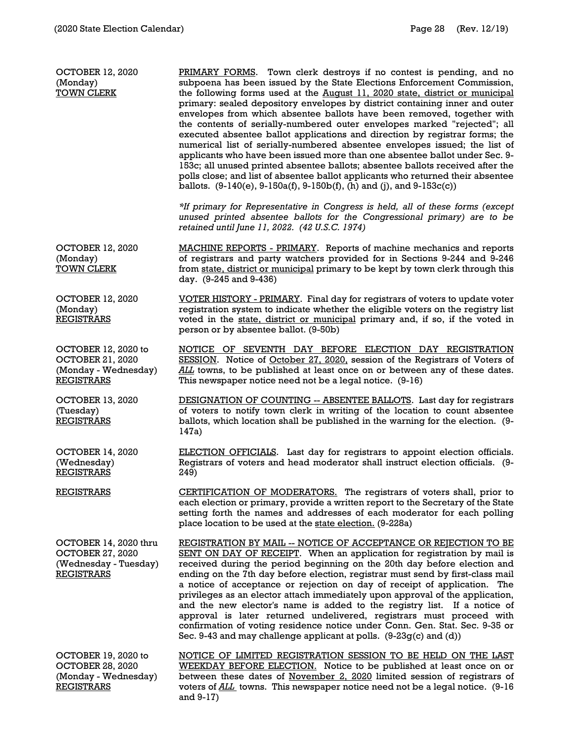| <b>OCTOBER 12, 2020</b><br>(Monday)<br><b>TOWN CLERK</b>                                       | PRIMARY FORMS. Town clerk destroys if no contest is pending, and no<br>subpoena has been issued by the State Elections Enforcement Commission,<br>the following forms used at the August 11, 2020 state, district or municipal<br>primary: sealed depository envelopes by district containing inner and outer<br>envelopes from which absentee ballots have been removed, together with<br>the contents of serially-numbered outer envelopes marked "rejected"; all<br>executed absentee ballot applications and direction by registrar forms; the<br>numerical list of serially-numbered absentee envelopes issued; the list of<br>applicants who have been issued more than one absentee ballot under Sec. 9-<br>153c; all unused printed absentee ballots; absentee ballots received after the<br>polls close; and list of absentee ballot applicants who returned their absentee<br>ballots. $(9-140(e), 9-150a(f), 9-150b(f), (h)$ and (j), and $9-153c(c)$ )<br>*If primary for Representative in Congress is held, all of these forms (except<br>unused printed absentee ballots for the Congressional primary) are to be |
|------------------------------------------------------------------------------------------------|----------------------------------------------------------------------------------------------------------------------------------------------------------------------------------------------------------------------------------------------------------------------------------------------------------------------------------------------------------------------------------------------------------------------------------------------------------------------------------------------------------------------------------------------------------------------------------------------------------------------------------------------------------------------------------------------------------------------------------------------------------------------------------------------------------------------------------------------------------------------------------------------------------------------------------------------------------------------------------------------------------------------------------------------------------------------------------------------------------------------------------|
|                                                                                                | retained until June 11, 2022. (42 U.S.C. 1974)                                                                                                                                                                                                                                                                                                                                                                                                                                                                                                                                                                                                                                                                                                                                                                                                                                                                                                                                                                                                                                                                                   |
| <b>OCTOBER 12, 2020</b><br>(Monday)<br><b>TOWN CLERK</b>                                       | <b>MACHINE REPORTS - PRIMARY.</b> Reports of machine mechanics and reports<br>of registrars and party watchers provided for in Sections 9-244 and 9-246<br>from state, district or municipal primary to be kept by town clerk through this<br>day. (9-245 and 9-436)                                                                                                                                                                                                                                                                                                                                                                                                                                                                                                                                                                                                                                                                                                                                                                                                                                                             |
| <b>OCTOBER 12, 2020</b><br>(Monday)<br><b>REGISTRARS</b>                                       | VOTER HISTORY - PRIMARY. Final day for registrars of voters to update voter<br>registration system to indicate whether the eligible voters on the registry list<br>voted in the state, district or municipal primary and, if so, if the voted in<br>person or by absentee ballot. (9-50b)                                                                                                                                                                                                                                                                                                                                                                                                                                                                                                                                                                                                                                                                                                                                                                                                                                        |
| OCTOBER 12, 2020 to<br><b>OCTOBER 21, 2020</b><br>(Monday - Wednesday)<br><b>REGISTRARS</b>    | NOTICE OF SEVENTH DAY BEFORE ELECTION DAY REGISTRATION<br>SESSION. Notice of October 27, 2020, session of the Registrars of Voters of<br>ALL towns, to be published at least once on or between any of these dates.<br>This newspaper notice need not be a legal notice. (9-16)                                                                                                                                                                                                                                                                                                                                                                                                                                                                                                                                                                                                                                                                                                                                                                                                                                                  |
| <b>OCTOBER 13, 2020</b><br>(Tuesday)<br><b>REGISTRARS</b>                                      | <b>DESIGNATION OF COUNTING -- ABSENTEE BALLOTS.</b> Last day for registrars<br>of voters to notify town clerk in writing of the location to count absentee<br>ballots, which location shall be published in the warning for the election. (9-<br>147a)                                                                                                                                                                                                                                                                                                                                                                                                                                                                                                                                                                                                                                                                                                                                                                                                                                                                           |
| <b>OCTOBER 14, 2020</b><br>(Wednesday)<br><b>REGISTRARS</b>                                    | <b>ELECTION OFFICIALS.</b> Last day for registrars to appoint election officials.<br>Registrars of voters and head moderator shall instruct election officials. (9-<br>249)                                                                                                                                                                                                                                                                                                                                                                                                                                                                                                                                                                                                                                                                                                                                                                                                                                                                                                                                                      |
| <b>REGISTRARS</b>                                                                              | CERTIFICATION OF MODERATORS. The registrars of voters shall, prior to<br>each election or primary, provide a written report to the Secretary of the State<br>setting forth the names and addresses of each moderator for each polling<br>place location to be used at the state election. (9-228a)                                                                                                                                                                                                                                                                                                                                                                                                                                                                                                                                                                                                                                                                                                                                                                                                                               |
| OCTOBER 14, 2020 thru<br><b>OCTOBER 27, 2020</b><br>(Wednesday - Tuesday)<br><b>REGISTRARS</b> | REGISTRATION BY MAIL -- NOTICE OF ACCEPTANCE OR REJECTION TO BE<br>SENT ON DAY OF RECEIPT. When an application for registration by mail is<br>received during the period beginning on the 20th day before election and<br>ending on the 7th day before election, registrar must send by first-class mail<br>a notice of acceptance or rejection on day of receipt of application. The<br>privileges as an elector attach immediately upon approval of the application,<br>and the new elector's name is added to the registry list. If a notice of<br>approval is later returned undelivered, registrars must proceed with<br>confirmation of voting residence notice under Conn. Gen. Stat. Sec. 9-35 or<br>Sec. 9-43 and may challenge applicant at polls. $(9-23g(c)$ and $(d))$                                                                                                                                                                                                                                                                                                                                              |
| OCTOBER 19, 2020 to<br><b>OCTOBER 28, 2020</b><br>(Monday - Wednesday)<br><b>REGISTRARS</b>    | NOTICE OF LIMITED REGISTRATION SESSION TO BE HELD ON THE LAST<br>WEEKDAY BEFORE ELECTION. Notice to be published at least once on or<br>between these dates of November 2, 2020 limited session of registrars of<br>voters of ALL towns. This newspaper notice need not be a legal notice. (9-16<br>and $9-17$ )                                                                                                                                                                                                                                                                                                                                                                                                                                                                                                                                                                                                                                                                                                                                                                                                                 |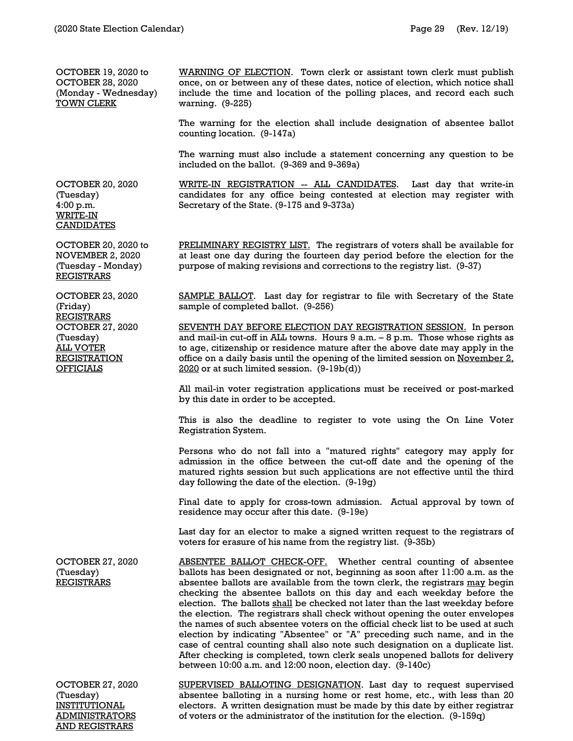OCTOBER 19, 2020 to OCTOBER 28, 2020 (Monday - Wednesday) TOWN CLERK

OCTOBER 20, 2020

OCTOBER 20, 2020 to NOVEMBER 2, 2020 (Tuesday - Monday) REGISTRARS

OCTOBER 23, 2020

OCTOBER 27, 2020

(Friday) REGISTRARS

(Tuesday) ALL VOTER REGISTRATION **OFFICIALS** 

(Tuesday) 4:00 p.m. WRITE-IN **CANDIDATES**  WARNING OF ELECTION. Town clerk or assistant town clerk must publish once, on or between any of these dates, notice of election, which notice shall include the time and location of the polling places, and record each such warning. (9-225)

The warning for the election shall include designation of absentee ballot counting location. (9-147a)

The warning must also include a statement concerning any question to be included on the ballot. (9-369 and 9-369a)

WRITE-IN REGISTRATION -- ALL CANDIDATES. Last day that write-in candidates for any office being contested at election may register with Secretary of the State. (9-175 and 9-373a)

PRELIMINARY REGISTRY LIST. The registrars of voters shall be available for at least one day during the fourteen day period before the election for the purpose of making revisions and corrections to the registry list. (9-37)

SAMPLE BALLOT. Last day for registrar to file with Secretary of the State sample of completed ballot. (9-256)

SEVENTH DAY BEFORE ELECTION DAY REGISTRATION SESSION. In person and mail-in cut-off in ALL towns. Hours 9 a.m. – 8 p.m. Those whose rights as to age, citizenship or residence mature after the above date may apply in the office on a daily basis until the opening of the limited session on November 2, 2020 or at such limited session. (9-19b(d))

All mail-in voter registration applications must be received or post-marked by this date in order to be accepted.

This is also the deadline to register to vote using the On Line Voter Registration System.

Persons who do not fall into a "matured rights" category may apply for admission in the office between the cut-off date and the opening of the matured rights session but such applications are not effective until the third day following the date of the election. (9-19g)

Final date to apply for cross-town admission. Actual approval by town of residence may occur after this date. (9-19e)

Last day for an elector to make a signed written request to the registrars of voters for erasure of his name from the registry list. (9-35b)

OCTOBER 27, 2020 (Tuesday) REGISTRARS ABSENTEE BALLOT CHECK-OFF. Whether central counting of absentee ballots has been designated or not, beginning as soon after 11:00 a.m. as the absentee ballots are available from the town clerk, the registrars may begin checking the absentee ballots on this day and each weekday before the election. The ballots shall be checked not later than the last weekday before the election. The registrars shall check without opening the outer envelopes the names of such absentee voters on the official check list to be used at such election by indicating "Absentee" or "A" preceding such name, and in the case of central counting shall also note such designation on a duplicate list. After checking is completed, town clerk seals unopened ballots for delivery between 10:00 a.m. and 12:00 noon, election day. (9-140c) OCTOBER 27, 2020

(Tuesday) INSTITUTIONAL ADMINISTRATORS AND REGISTRARS

SUPERVISED BALLOTING DESIGNATION. Last day to request supervised absentee balloting in a nursing home or rest home, etc., with less than 20 electors. A written designation must be made by this date by either registrar of voters or the administrator of the institution for the election. (9-159q)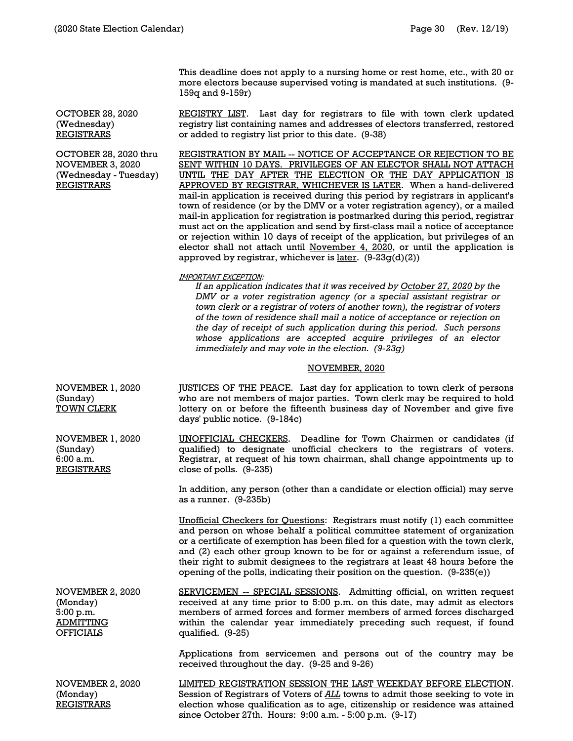This deadline does not apply to a nursing home or rest home, etc., with 20 or more electors because supervised voting is mandated at such institutions. (9- 159q and 9-159r)

REGISTRY LIST. Last day for registrars to file with town clerk updated registry list containing names and addresses of electors transferred, restored or added to registry list prior to this date. (9-38)

REGISTRATION BY MAIL -- NOTICE OF ACCEPTANCE OR REJECTION TO BE SENT WITHIN 10 DAYS. PRIVILEGES OF AN ELECTOR SHALL NOT ATTACH UNTIL THE DAY AFTER THE ELECTION OR THE DAY APPLICATION IS APPROVED BY REGISTRAR, WHICHEVER IS LATER. When a hand-delivered mail-in application is received during this period by registrars in applicant's town of residence (or by the DMV or a voter registration agency), or a mailed mail-in application for registration is postmarked during this period, registrar must act on the application and send by first-class mail a notice of acceptance or rejection within 10 days of receipt of the application, but privileges of an elector shall not attach until November 4, 2020, or until the application is approved by registrar, whichever is  $later.$  (9-23g(d)(2))

IMPORTANT EXCEPTION:

*If an application indicates that it was received by October 27, 2020 by the DMV or a voter registration agency (or a special assistant registrar or town clerk or a registrar of voters of another town), the registrar of voters of the town of residence shall mail a notice of acceptance or rejection on the day of receipt of such application during this period. Such persons whose applications are accepted acquire privileges of an elector immediately and may vote in the election. (9-23g)*

#### NOVEMBER, 2020

NOVEMBER 1, 2020 (Sunday) TOWN CLERK JUSTICES OF THE PEACE. Last day for application to town clerk of persons who are not members of major parties. Town clerk may be required to hold lottery on or before the fifteenth business day of November and give five days' public notice. (9-184c)

NOVEMBER 1, 2020 UNOFFICIAL CHECKERS. Deadline for Town Chairmen or candidates (if qualified) to designate unofficial checkers to the registrars of voters. Registrar, at request of his town chairman, shall change appointments up to close of polls. (9-235)

> In addition, any person (other than a candidate or election official) may serve as a runner. (9-235b)

> Unofficial Checkers for Questions: Registrars must notify (1) each committee and person on whose behalf a political committee statement of organization or a certificate of exemption has been filed for a question with the town clerk, and (2) each other group known to be for or against a referendum issue, of their right to submit designees to the registrars at least 48 hours before the opening of the polls, indicating their position on the question. (9-235(e))

NOVEMBER 2, 2020 (Monday) 5:00 p.m. ADMITTING **OFFICIALS** 

(Sunday) 6:00 a.m. REGISTRARS

> SERVICEMEN -- SPECIAL SESSIONS. Admitting official, on written request received at any time prior to 5:00 p.m. on this date, may admit as electors members of armed forces and former members of armed forces discharged within the calendar year immediately preceding such request, if found qualified. (9-25)

Applications from servicemen and persons out of the country may be received throughout the day. (9-25 and 9-26)

NOVEMBER 2, 2020 (Monday) **REGISTRARS** LIMITED REGISTRATION SESSION THE LAST WEEKDAY BEFORE ELECTION. Session of Registrars of Voters of *ALL* towns to admit those seeking to vote in election whose qualification as to age, citizenship or residence was attained since October 27th. Hours: 9:00 a.m. - 5:00 p.m. (9-17)

OCTOBER 28, 2020 (Wednesday) REGISTRARS

OCTOBER 28, 2020 thru NOVEMBER 3, 2020 (Wednesday - Tuesday) REGISTRARS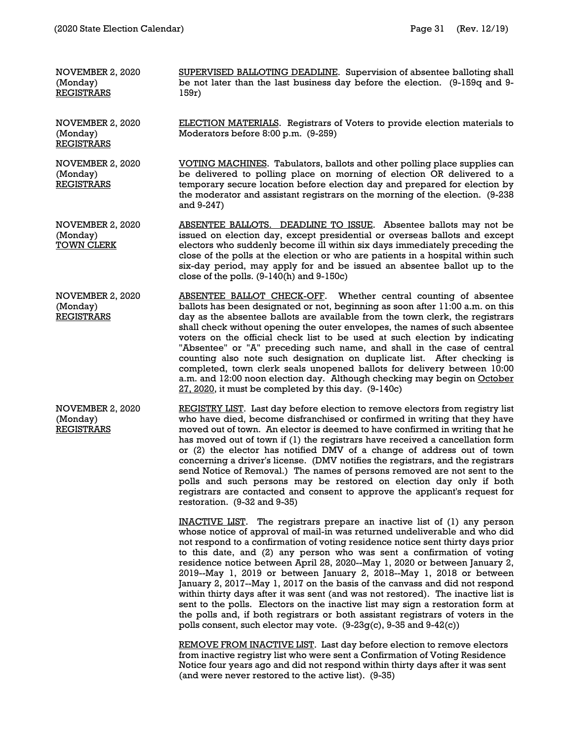| NOVEMBER 2, 2020<br>(Monday)<br>REGISTRARS        | SUPERVISED BALLOTING DEADLINE. Supervision of absentee balloting shall<br>be not later than the last business day before the election. (9-159q and 9-<br>159r)                                                                                                                                                                    |
|---------------------------------------------------|-----------------------------------------------------------------------------------------------------------------------------------------------------------------------------------------------------------------------------------------------------------------------------------------------------------------------------------|
| NOVEMBER 2, 2020<br>(Monday)<br>REGISTRARS        | <b>ELECTION MATERIALS.</b> Registrars of Voters to provide election materials to<br>Moderators before 8:00 p.m. (9-259)                                                                                                                                                                                                           |
| NOVEMBER 2, 2020<br>(Monday)<br><b>REGISTRARS</b> | VOTING MACHINES. Tabulators, ballots and other polling place supplies can<br>be delivered to polling place on morning of election OR delivered to a<br>temporary secure location before election day and prepared for election by<br>the moderator and assistant registrars on the morning of the election. (9-238)<br>and 9-247) |

NOVEMBER 2, 2020 (Monday) TOWN CLERK ABSENTEE BALLOTS. DEADLINE TO ISSUE. Absentee ballots may not be issued on election day, except presidential or overseas ballots and except electors who suddenly become ill within six days immediately preceding the close of the polls at the election or who are patients in a hospital within such six-day period, may apply for and be issued an absentee ballot up to the close of the polls. (9-140(h) and 9-150c)

NOVEMBER 2, 2020 (Monday) **REGISTRARS** ABSENTEE BALLOT CHECK-OFF. Whether central counting of absentee ballots has been designated or not, beginning as soon after 11:00 a.m. on this day as the absentee ballots are available from the town clerk, the registrars shall check without opening the outer envelopes, the names of such absentee voters on the official check list to be used at such election by indicating "Absentee" or "A" preceding such name, and shall in the case of central counting also note such designation on duplicate list. After checking is completed, town clerk seals unopened ballots for delivery between 10:00 a.m. and 12:00 noon election day. Although checking may begin on October 27, 2020, it must be completed by this day. (9-140c)

NOVEMBER 2, 2020 (Monday) REGISTRARS REGISTRY LIST. Last day before election to remove electors from registry list who have died, become disfranchised or confirmed in writing that they have moved out of town. An elector is deemed to have confirmed in writing that he has moved out of town if (1) the registrars have received a cancellation form or (2) the elector has notified DMV of a change of address out of town concerning a driver's license. (DMV notifies the registrars, and the registrars send Notice of Removal.) The names of persons removed are not sent to the polls and such persons may be restored on election day only if both registrars are contacted and consent to approve the applicant's request for restoration. (9-32 and 9-35)

> INACTIVE LIST. The registrars prepare an inactive list of (1) any person whose notice of approval of mail-in was returned undeliverable and who did not respond to a confirmation of voting residence notice sent thirty days prior to this date, and (2) any person who was sent a confirmation of voting residence notice between April 28, 2020--May 1, 2020 or between January 2, 2019--May 1, 2019 or between January 2, 2018--May 1, 2018 or between January 2, 2017--May 1, 2017 on the basis of the canvass and did not respond within thirty days after it was sent (and was not restored). The inactive list is sent to the polls. Electors on the inactive list may sign a restoration form at the polls and, if both registrars or both assistant registrars of voters in the polls consent, such elector may vote. (9-23g(c), 9-35 and 9-42(c))

REMOVE FROM INACTIVE LIST. Last day before election to remove electors from inactive registry list who were sent a Confirmation of Voting Residence Notice four years ago and did not respond within thirty days after it was sent (and were never restored to the active list). (9-35)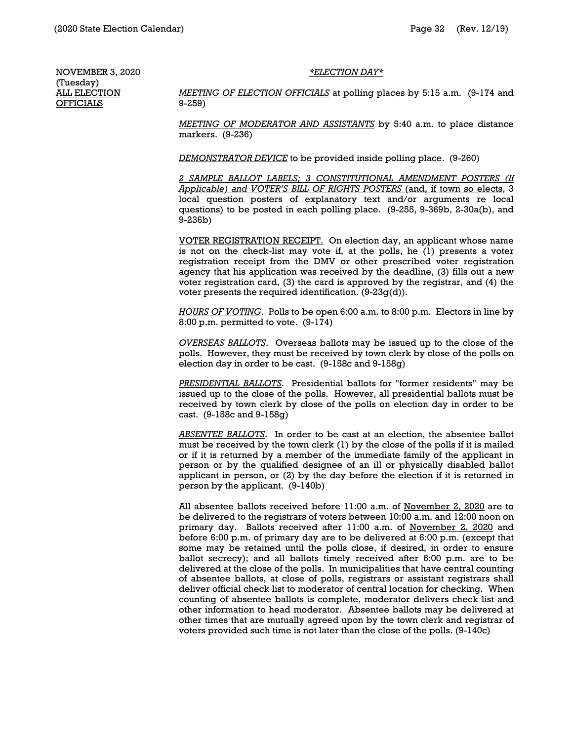#### *\*ELECTION DAY\**

NOVEMBER 3, 2020 (Tuesday) **ALL ELECTION OFFICIALS** 

*MEETING OF ELECTION OFFICIALS* at polling places by 5:15 a.m. (9-174 and 9-259)

*MEETING OF MODERATOR AND ASSISTANTS* by 5:40 a.m. to place distance markers. (9-236)

*DEMONSTRATOR DEVICE* to be provided inside polling place. (9-260)

*2 SAMPLE BALLOT LABELS; 3 CONSTITUTIONAL AMENDMENT POSTERS (If Applicable) and VOTER'S BILL OF RIGHTS POSTERS* (and, if town so elects, 3 local question posters of explanatory text and/or arguments re local questions) to be posted in each polling place. (9-255, 9-369b, 2-30a(b), and 9-236b)

VOTER REGISTRATION RECEIPT. On election day, an applicant whose name is not on the check-list may vote if, at the polls, he (1) presents a voter registration receipt from the DMV or other prescribed voter registration agency that his application was received by the deadline, (3) fills out a new voter registration card, (3) the card is approved by the registrar, and (4) the voter presents the required identification. (9-23g(d)).

*HOURS OF VOTING*. Polls to be open 6:00 a.m. to 8:00 p.m. Electors in line by 8:00 p.m. permitted to vote. (9-174)

*OVERSEAS BALLOTS*. Overseas ballots may be issued up to the close of the polls. However, they must be received by town clerk by close of the polls on election day in order to be cast. (9-158c and 9-158g)

*PRESIDENTIAL BALLOTS*. Presidential ballots for "former residents" may be issued up to the close of the polls. However, all presidential ballots must be received by town clerk by close of the polls on election day in order to be cast. (9-158c and 9-158g)

*ABSENTEE BALLOTS*. In order to be cast at an election, the absentee ballot must be received by the town clerk (1) by the close of the polls if it is mailed or if it is returned by a member of the immediate family of the applicant in person or by the qualified designee of an ill or physically disabled ballot applicant in person, or (2) by the day before the election if it is returned in person by the applicant. (9-140b)

All absentee ballots received before 11:00 a.m. of November 2, 2020 are to be delivered to the registrars of voters between 10:00 a.m. and 12:00 noon on primary day. Ballots received after 11:00 a.m. of November 2, 2020 and before 6:00 p.m. of primary day are to be delivered at 6:00 p.m. (except that some may be retained until the polls close, if desired, in order to ensure ballot secrecy); and all ballots timely received after 6:00 p.m. are to be delivered at the close of the polls. In municipalities that have central counting of absentee ballots, at close of polls, registrars or assistant registrars shall deliver official check list to moderator of central location for checking. When counting of absentee ballots is complete, moderator delivers check list and other information to head moderator. Absentee ballots may be delivered at other times that are mutually agreed upon by the town clerk and registrar of voters provided such time is not later than the close of the polls. (9-140c)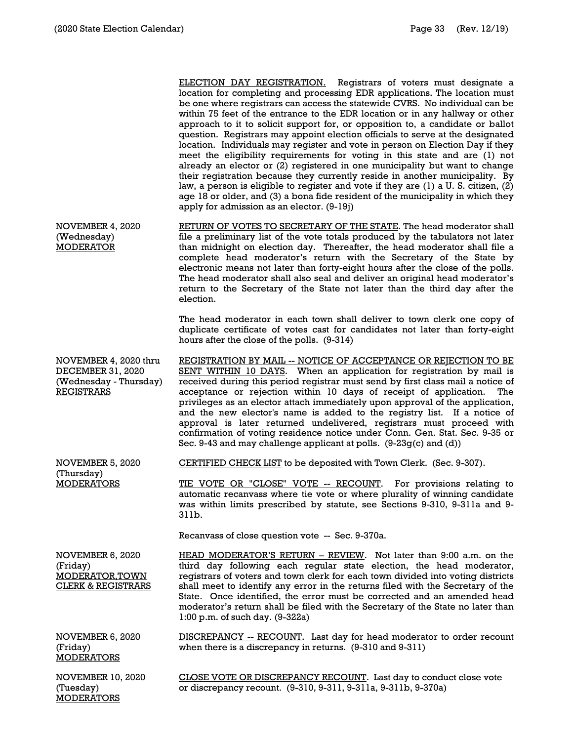MODERATORS

ELECTION DAY REGISTRATION. Registrars of voters must designate a location for completing and processing EDR applications. The location must be one where registrars can access the statewide CVRS. No individual can be within 75 feet of the entrance to the EDR location or in any hallway or other approach to it to solicit support for, or opposition to, a candidate or ballot question. Registrars may appoint election officials to serve at the designated location. Individuals may register and vote in person on Election Day if they meet the eligibility requirements for voting in this state and are (1) not already an elector or (2) registered in one municipality but want to change their registration because they currently reside in another municipality. By law, a person is eligible to register and vote if they are (1) a U. S. citizen, (2) age 18 or older, and (3) a bona fide resident of the municipality in which they apply for admission as an elector. (9-19j) NOVEMBER 4, 2020 (Wednesday) MODERATOR RETURN OF VOTES TO SECRETARY OF THE STATE. The head moderator shall file a preliminary list of the vote totals produced by the tabulators not later than midnight on election day. Thereafter, the head moderator shall file a complete head moderator's return with the Secretary of the State by electronic means not later than forty-eight hours after the close of the polls. The head moderator shall also seal and deliver an original head moderator's return to the Secretary of the State not later than the third day after the election. The head moderator in each town shall deliver to town clerk one copy of duplicate certificate of votes cast for candidates not later than forty-eight hours after the close of the polls. (9-314) NOVEMBER 4, 2020 thru DECEMBER 31, 2020 (Wednesday - Thursday) REGISTRARS REGISTRATION BY MAIL -- NOTICE OF ACCEPTANCE OR REJECTION TO BE SENT WITHIN 10 DAYS. When an application for registration by mail is received during this period registrar must send by first class mail a notice of acceptance or rejection within 10 days of receipt of application. The privileges as an elector attach immediately upon approval of the application, and the new elector's name is added to the registry list. If a notice of approval is later returned undelivered, registrars must proceed with confirmation of voting residence notice under Conn. Gen. Stat. Sec. 9-35 or Sec. 9-43 and may challenge applicant at polls.  $(9-23q(c)$  and  $(d))$ NOVEMBER 5, 2020 (Thursday) **MODERATORS** CERTIFIED CHECK LIST to be deposited with Town Clerk. (Sec. 9-307). TIE VOTE OR "CLOSE" VOTE -- RECOUNT. For provisions relating to automatic recanvass where tie vote or where plurality of winning candidate was within limits prescribed by statute, see Sections 9-310, 9-311a and 9- 311b. Recanvass of close question vote -- Sec. 9-370a. NOVEMBER 6, 2020 (Friday) MODERATOR,TOWN CLERK & REGISTRARS HEAD MODERATOR'S RETURN – REVIEW. Not later than 9:00 a.m. on the third day following each regular state election, the head moderator, registrars of voters and town clerk for each town divided into voting districts shall meet to identify any error in the returns filed with the Secretary of the State. Once identified, the error must be corrected and an amended head moderator's return shall be filed with the Secretary of the State no later than 1:00 p.m. of such day. (9-322a) NOVEMBER 6, 2020 (Friday) **MODERATORS** DISCREPANCY -- RECOUNT. Last day for head moderator to order recount when there is a discrepancy in returns. (9-310 and 9-311) NOVEMBER 10, 2020 (Tuesday) CLOSE VOTE OR DISCREPANCY RECOUNT. Last day to conduct close vote or discrepancy recount. (9-310, 9-311, 9-311a, 9-311b, 9-370a)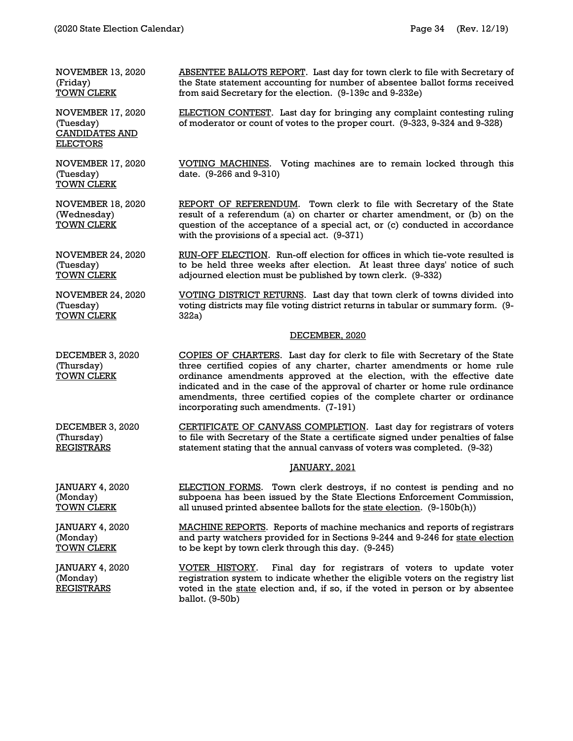NOVEMBER 13, 2020 (Friday) TOWN CLERK

NOVEMBER 17, 2020 (Tuesday) CANDIDATES AND **ELECTORS** 

NOVEMBER 17, 2020 (Tuesday) TOWN CLERK

NOVEMBER 18, 2020 (Wednesday) TOWN CLERK

REPORT OF REFERENDUM. Town clerk to file with Secretary of the State result of a referendum (a) on charter or charter amendment, or (b) on the question of the acceptance of a special act, or (c) conducted in accordance

VOTING DISTRICT RETURNS. Last day that town clerk of towns divided into voting districts may file voting district returns in tabular or summary form. (9-

VOTING MACHINES. Voting machines are to remain locked through this

ABSENTEE BALLOTS REPORT. Last day for town clerk to file with Secretary of the State statement accounting for number of absentee ballot forms received

ELECTION CONTEST. Last day for bringing any complaint contesting ruling of moderator or count of votes to the proper court. (9-323, 9-324 and 9-328)

NOVEMBER 24, 2020 (Tuesday) TOWN CLERK RUN-OFF ELECTION. Run-off election for offices in which tie-vote resulted is to be held three weeks after election. At least three days' notice of such adjourned election must be published by town clerk. (9-332)

with the provisions of a special act. (9-371)

date. (9-266 and 9-310)

322a)

from said Secretary for the election. (9-139c and 9-232e)

NOVEMBER 24, 2020 (Tuesday) TOWN CLERK

JANUARY 4, 2020

JANUARY 4, 2020 (Monday) REGISTRARS

(Monday) TOWN CLERK

#### DECEMBER, 2020

DECEMBER 3, 2020 (Thursday) TOWN CLERK COPIES OF CHARTERS. Last day for clerk to file with Secretary of the State three certified copies of any charter, charter amendments or home rule ordinance amendments approved at the election, with the effective date indicated and in the case of the approval of charter or home rule ordinance amendments, three certified copies of the complete charter or ordinance incorporating such amendments. (7-191)

DECEMBER 3, 2020 (Thursday) **REGISTRARS** CERTIFICATE OF CANVASS COMPLETION. Last day for registrars of voters to file with Secretary of the State a certificate signed under penalties of false statement stating that the annual canvass of voters was completed. (9-32)

#### JANUARY, 2021

JANUARY 4, 2020 (Monday) TOWN CLERK ELECTION FORMS. Town clerk destroys, if no contest is pending and no subpoena has been issued by the State Elections Enforcement Commission, all unused printed absentee ballots for the state election. (9-150b(h))

> MACHINE REPORTS. Reports of machine mechanics and reports of registrars and party watchers provided for in Sections 9-244 and 9-246 for state election to be kept by town clerk through this day. (9-245)

VOTER HISTORY. Final day for registrars of voters to update voter registration system to indicate whether the eligible voters on the registry list voted in the state election and, if so, if the voted in person or by absentee ballot. (9-50b)